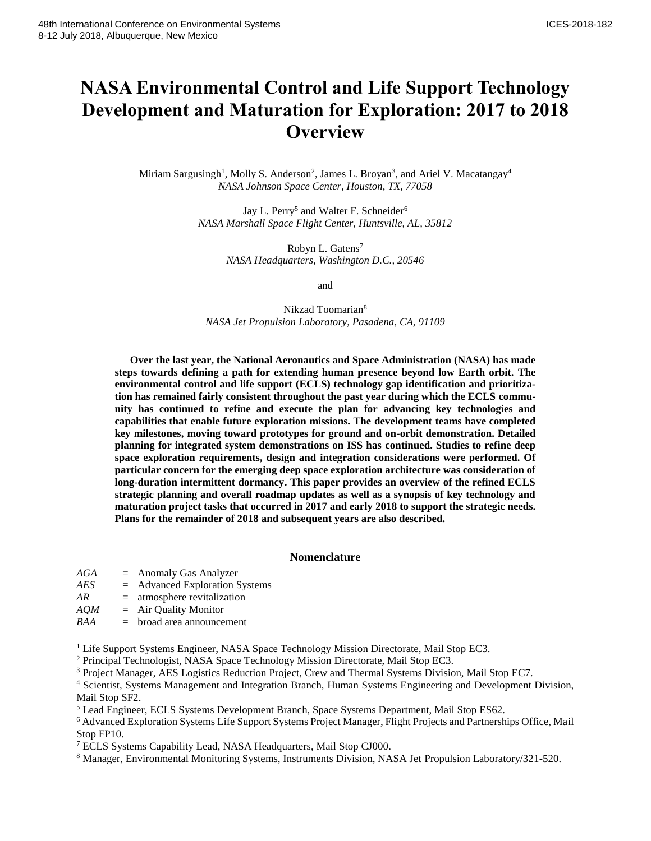# **NASA Environmental Control and Life Support Technology Development and Maturation for Exploration: 2017 to 2018 Overview**

Miriam Sargusingh<sup>1</sup>, Molly S. Anderson<sup>2</sup>, James L. Broyan<sup>3</sup>, and Ariel V. Macatangay<sup>4</sup> *NASA Johnson Space Center, Houston, TX, 77058*

> Jay L. Perry<sup>5</sup> and Walter F. Schneider<sup>6</sup> *NASA Marshall Space Flight Center, Huntsville, AL, 35812*

> > Robyn L. Gatens<sup>7</sup> *NASA Headquarters, Washington D.C., 20546*

> > > and

Nikzad Toomarian<sup>8</sup> *NASA Jet Propulsion Laboratory, Pasadena, CA, 91109*

**Over the last year, the National Aeronautics and Space Administration (NASA) has made steps towards defining a path for extending human presence beyond low Earth orbit. The environmental control and life support (ECLS) technology gap identification and prioritization has remained fairly consistent throughout the past year during which the ECLS community has continued to refine and execute the plan for advancing key technologies and capabilities that enable future exploration missions. The development teams have completed key milestones, moving toward prototypes for ground and on-orbit demonstration. Detailed planning for integrated system demonstrations on ISS has continued. Studies to refine deep space exploration requirements, design and integration considerations were performed. Of particular concern for the emerging deep space exploration architecture was consideration of long-duration intermittent dormancy. This paper provides an overview of the refined ECLS strategic planning and overall roadmap updates as well as a synopsis of key technology and maturation project tasks that occurred in 2017 and early 2018 to support the strategic needs. Plans for the remainder of 2018 and subsequent years are also described.**

# **Nomenclature**

| AGA        |     | $=$ Anomaly Gas Analyzer         |
|------------|-----|----------------------------------|
| AES        |     | $=$ Advanced Exploration Systems |
| AR         | $=$ | atmosphere revitalization        |
| AOM        |     | $=$ Air Quality Monitor          |
| <b>BAA</b> | $=$ | broad area announcement          |

 $\overline{\phantom{a}}$ 

<sup>&</sup>lt;sup>1</sup> Life Support Systems Engineer, NASA Space Technology Mission Directorate, Mail Stop EC3.

<sup>2</sup> Principal Technologist, NASA Space Technology Mission Directorate, Mail Stop EC3.

<sup>3</sup> Project Manager, AES Logistics Reduction Project, Crew and Thermal Systems Division, Mail Stop EC7.

<sup>4</sup> Scientist, Systems Management and Integration Branch, Human Systems Engineering and Development Division, Mail Stop SF2.

<sup>5</sup> Lead Engineer, ECLS Systems Development Branch, Space Systems Department, Mail Stop ES62.

<sup>6</sup> Advanced Exploration Systems Life Support Systems Project Manager, Flight Projects and Partnerships Office, Mail Stop FP10.

<sup>7</sup> ECLS Systems Capability Lead, NASA Headquarters, Mail Stop CJ000.

<sup>8</sup> Manager, Environmental Monitoring Systems, Instruments Division, NASA Jet Propulsion Laboratory/321-520.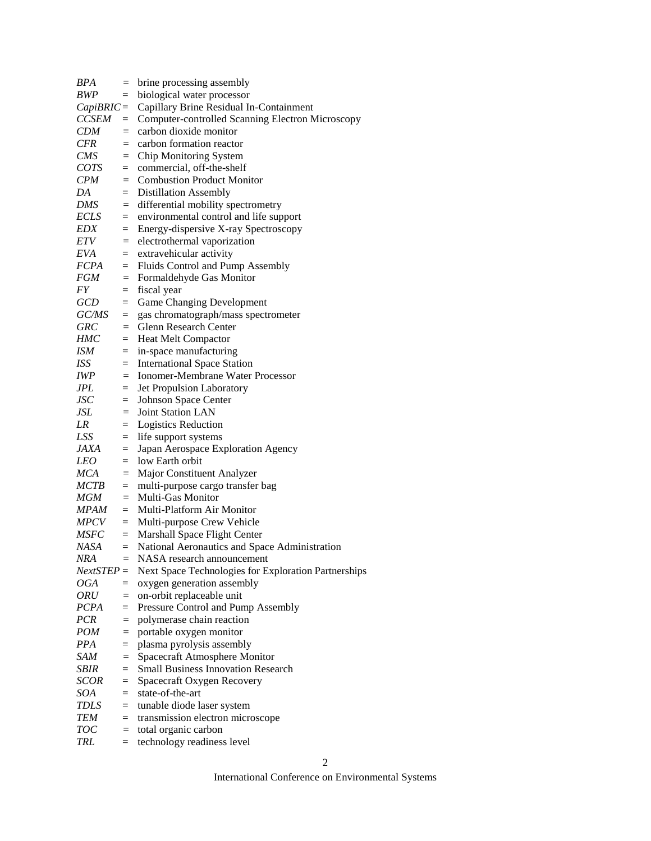| BPA           | $=$      | brine processing assembly                            |
|---------------|----------|------------------------------------------------------|
| BWP           | $=$      | biological water processor                           |
|               |          | CapiBRIC = Capillary Brine Residual In-Containment   |
| <b>CCSEM</b>  |          | = Computer-controlled Scanning Electron Microscopy   |
| <b>CDM</b>    |          | $=$ carbon dioxide monitor                           |
| <b>CFR</b>    |          | $=$ carbon formation reactor                         |
| <b>CMS</b>    |          | $=$ Chip Monitoring System                           |
| COTS          | $=$      | commercial, off-the-shelf                            |
| CPM           | $=$      | <b>Combustion Product Monitor</b>                    |
| DA            | $=$      | <b>Distillation Assembly</b>                         |
| DMS           | $\equiv$ | differential mobility spectrometry                   |
| ECLS          | $=$      | environmental control and life support               |
| EDX           | $=$      | Energy-dispersive X-ray Spectroscopy                 |
| <i>ETV</i>    | $=$      | electrothermal vaporization                          |
| EVA           | $=$      | extravehicular activity                              |
| <i>FCPA</i>   | $=$      | Fluids Control and Pump Assembly                     |
| FGM           | $\equiv$ | Formaldehyde Gas Monitor                             |
| FY            | $=$      | fiscal year                                          |
| GCD           | $=$      | <b>Game Changing Development</b>                     |
| GC/MS         | $=$      | gas chromatograph/mass spectrometer                  |
| <b>GRC</b>    | $=$      | <b>Glenn Research Center</b>                         |
| HMC           |          | $=$ Heat Melt Compactor                              |
| ISM           |          | $=$ in-space manufacturing                           |
| ISS           |          | $=$ International Space Station                      |
| <b>IWP</b>    |          | $=$ Ionomer-Membrane Water Processor                 |
| JPL           | $=$      | Jet Propulsion Laboratory                            |
| <i>JSC</i>    | $=$      | Johnson Space Center                                 |
| JSL           |          | $=$ Joint Station LAN                                |
| LR            | $=$      | <b>Logistics Reduction</b>                           |
| LSS           | $=$      | life support systems                                 |
| <i>JAXA</i>   | $=$      | Japan Aerospace Exploration Agency                   |
| <i>LEO</i>    | $=$      | low Earth orbit                                      |
| <b>MCA</b>    | $=$      | Major Constituent Analyzer                           |
| MCTB          | $=$      | multi-purpose cargo transfer bag                     |
| MGM           | $=$      | Multi-Gas Monitor                                    |
| <b>MPAM</b>   | $=$      | Multi-Platform Air Monitor                           |
| MPCV          | $=$      | Multi-purpose Crew Vehicle                           |
| <b>MSFC</b>   | $=$      | Marshall Space Flight Center                         |
| NASA          | $=$      | National Aeronautics and Space Administration        |
| <b>NRA</b>    | $=$      | NASA research announcement                           |
| $Next STEP =$ |          | Next Space Technologies for Exploration Partnerships |
| <b>OGA</b>    | $=$      | oxygen generation assembly                           |
| <b>ORU</b>    | $=$      | on-orbit replaceable unit                            |
| <b>PCPA</b>   | $=$      | Pressure Control and Pump Assembly                   |
| <b>PCR</b>    | $=$      | polymerase chain reaction                            |
| <b>POM</b>    | $=$      | portable oxygen monitor                              |
| <b>PPA</b>    | $=$      | plasma pyrolysis assembly                            |
| SAM           | $=$      | Spacecraft Atmosphere Monitor                        |
| SBIR          | $=$      | <b>Small Business Innovation Research</b>            |
| <b>SCOR</b>   | $=$      | Spacecraft Oxygen Recovery                           |
| SOA           | $=$      | state-of-the-art                                     |
| TDLS          | $=$      | tunable diode laser system                           |
| TEM           | $=$      | transmission electron microscope                     |
| <b>TOC</b>    | $=$      | total organic carbon                                 |
| <b>TRL</b>    | $=$      | technology readiness level                           |
|               |          |                                                      |

International Conference on Environmental Systems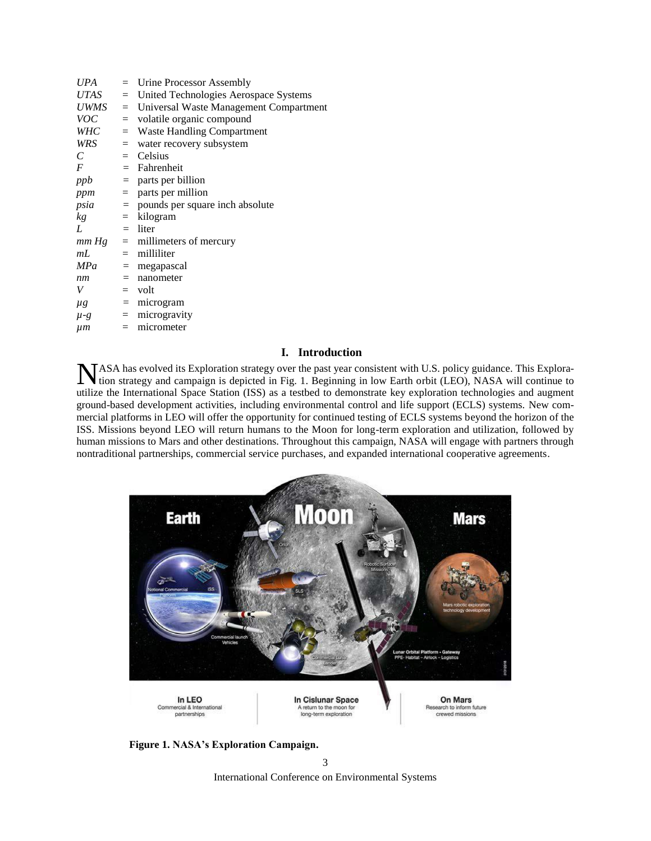| <b>UPA</b>            |     | $=$ Urine Processor Assembly                    |
|-----------------------|-----|-------------------------------------------------|
| UTAS                  |     | $=$ United Technologies Aerospace Systems       |
|                       |     | $UWMS =$ Universal Waste Management Compartment |
| <i>VOC</i>            |     | = volatile organic compound                     |
| WHC                   |     | $=$ Waste Handling Compartment                  |
| WRS                   |     | $=$ water recovery subsystem                    |
| $\mathcal{C}_{0}^{0}$ |     | $=$ Celsius                                     |
| $\boldsymbol{F}$      |     | $=$ Fahrenheit                                  |
| ppb                   |     | $=$ parts per billion                           |
|                       |     | $ppm$ = parts per million                       |
|                       |     | $psia$ = pounds per square inch absolute        |
| kg                    |     | $=$ kilogram                                    |
| L                     |     | $=$ liter                                       |
|                       |     | $mm Hg$ = millimeters of mercury                |
| mL                    |     | $=$ milliliter                                  |
| <b>MPa</b>            |     | $=$ megapascal                                  |
| nm                    |     | $=$ nanometer                                   |
| V                     |     | $=$ volt                                        |
| $\mu$ g               |     | $=$ microgram                                   |
| $\mu$ -g              |     | $=$ microgravity                                |
| $\mu$ m               | $=$ | micrometer                                      |
|                       |     |                                                 |

# **I. Introduction**

ASA has evolved its Exploration strategy over the past year consistent with U.S. policy guidance. This Exploration strategy and campaign is depicted in Fig. 1. Beginning in low Earth orbit (LEO), NASA will continue to **NASA** has evolved its Exploration strategy over the past year consistent with U.S. policy guidance. This Exploration strategy and campaign is depicted in Fig. 1. Beginning in low Earth orbit (LEO), NASA will continue to u ground-based development activities, including environmental control and life support (ECLS) systems. New commercial platforms in LEO will offer the opportunity for continued testing of ECLS systems beyond the horizon of the ISS. Missions beyond LEO will return humans to the Moon for long-term exploration and utilization, followed by human missions to Mars and other destinations. Throughout this campaign, NASA will engage with partners through nontraditional partnerships, commercial service purchases, and expanded international cooperative agreements.



**Figure 1. NASA's Exploration Campaign.**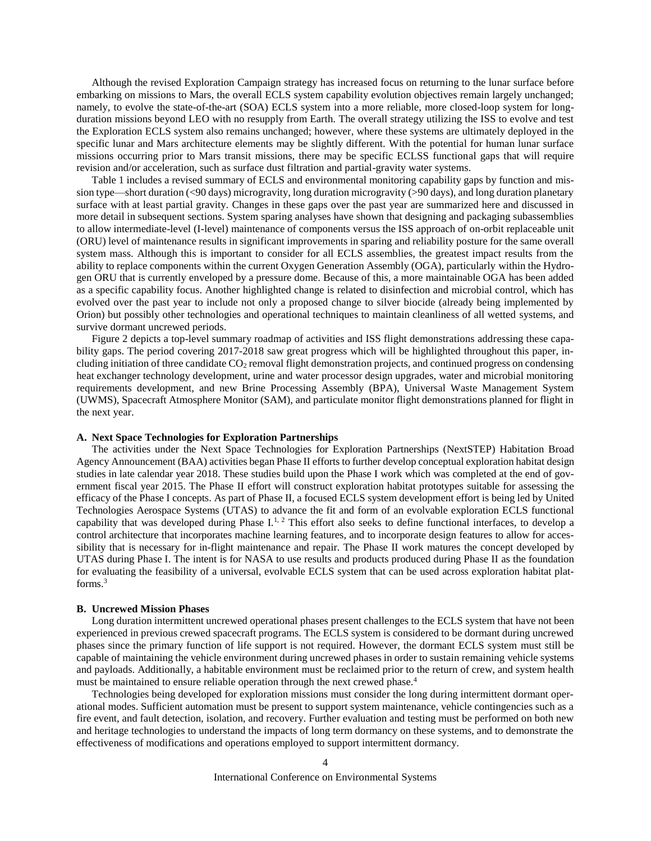Although the revised Exploration Campaign strategy has increased focus on returning to the lunar surface before embarking on missions to Mars, the overall ECLS system capability evolution objectives remain largely unchanged; namely, to evolve the state-of-the-art (SOA) ECLS system into a more reliable, more closed-loop system for longduration missions beyond LEO with no resupply from Earth. The overall strategy utilizing the ISS to evolve and test the Exploration ECLS system also remains unchanged; however, where these systems are ultimately deployed in the specific lunar and Mars architecture elements may be slightly different. With the potential for human lunar surface missions occurring prior to Mars transit missions, there may be specific ECLSS functional gaps that will require revision and/or acceleration, such as surface dust filtration and partial-gravity water systems.

Table 1 includes a revised summary of ECLS and environmental monitoring capability gaps by function and mission type—short duration (<90 days) microgravity, long duration microgravity (>90 days), and long duration planetary surface with at least partial gravity. Changes in these gaps over the past year are summarized here and discussed in more detail in subsequent sections. System sparing analyses have shown that designing and packaging subassemblies to allow intermediate-level (I-level) maintenance of components versus the ISS approach of on-orbit replaceable unit (ORU) level of maintenance results in significant improvements in sparing and reliability posture for the same overall system mass. Although this is important to consider for all ECLS assemblies, the greatest impact results from the ability to replace components within the current Oxygen Generation Assembly (OGA), particularly within the Hydrogen ORU that is currently enveloped by a pressure dome. Because of this, a more maintainable OGA has been added as a specific capability focus. Another highlighted change is related to disinfection and microbial control, which has evolved over the past year to include not only a proposed change to silver biocide (already being implemented by Orion) but possibly other technologies and operational techniques to maintain cleanliness of all wetted systems, and survive dormant uncrewed periods.

Figure 2 depicts a top-level summary roadmap of activities and ISS flight demonstrations addressing these capability gaps. The period covering 2017-2018 saw great progress which will be highlighted throughout this paper, including initiation of three candidate  $CO<sub>2</sub>$  removal flight demonstration projects, and continued progress on condensing heat exchanger technology development, urine and water processor design upgrades, water and microbial monitoring requirements development, and new Brine Processing Assembly (BPA), Universal Waste Management System (UWMS), Spacecraft Atmosphere Monitor (SAM), and particulate monitor flight demonstrations planned for flight in the next year.

# **A. Next Space Technologies for Exploration Partnerships**

The activities under the Next Space Technologies for Exploration Partnerships (NextSTEP) Habitation Broad Agency Announcement (BAA) activities began Phase II efforts to further develop conceptual exploration habitat design studies in late calendar year 2018. These studies build upon the Phase I work which was completed at the end of government fiscal year 2015. The Phase II effort will construct exploration habitat prototypes suitable for assessing the efficacy of the Phase I concepts. As part of Phase II, a focused ECLS system development effort is being led by United Technologies Aerospace Systems (UTAS) to advance the fit and form of an evolvable exploration ECLS functional capability that was developed during Phase I.<sup>1, 2</sup> This effort also seeks to define functional interfaces, to develop a control architecture that incorporates machine learning features, and to incorporate design features to allow for accessibility that is necessary for in-flight maintenance and repair. The Phase II work matures the concept developed by UTAS during Phase I. The intent is for NASA to use results and products produced during Phase II as the foundation for evaluating the feasibility of a universal, evolvable ECLS system that can be used across exploration habitat platforms. 3

#### **B. Uncrewed Mission Phases**

Long duration intermittent uncrewed operational phases present challenges to the ECLS system that have not been experienced in previous crewed spacecraft programs. The ECLS system is considered to be dormant during uncrewed phases since the primary function of life support is not required. However, the dormant ECLS system must still be capable of maintaining the vehicle environment during uncrewed phases in order to sustain remaining vehicle systems and payloads. Additionally, a habitable environment must be reclaimed prior to the return of crew, and system health must be maintained to ensure reliable operation through the next crewed phase.<sup>4</sup>

Technologies being developed for exploration missions must consider the long during intermittent dormant operational modes. Sufficient automation must be present to support system maintenance, vehicle contingencies such as a fire event, and fault detection, isolation, and recovery. Further evaluation and testing must be performed on both new and heritage technologies to understand the impacts of long term dormancy on these systems, and to demonstrate the effectiveness of modifications and operations employed to support intermittent dormancy.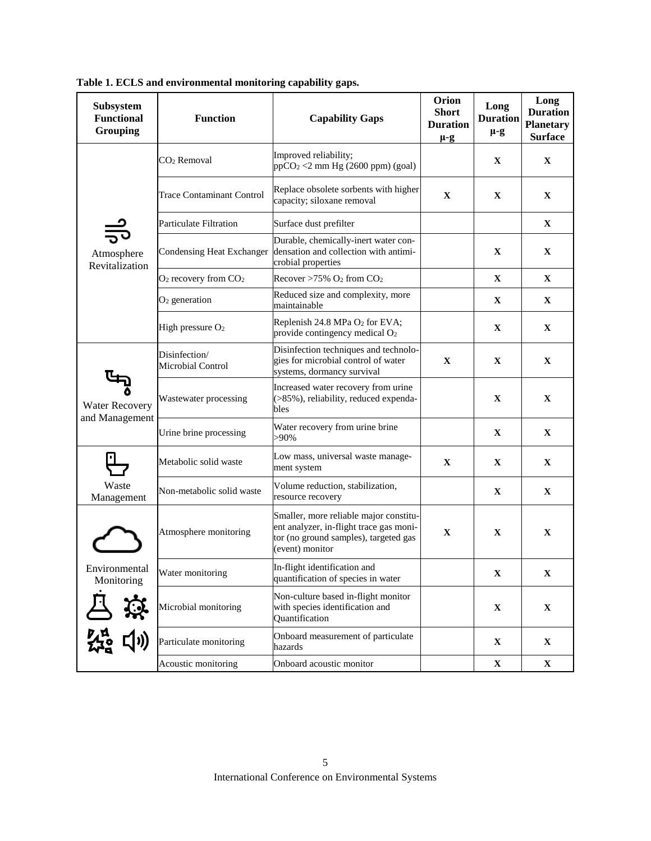| Subsystem<br><b>Functional</b><br>Grouping             | <b>Function</b>                    | <b>Capability Gaps</b>                                                                                                                        | Orion<br><b>Short</b><br><b>Duration</b><br>$\mu$ -g | Long<br><b>Duration</b><br>$\mu$ -g | Long<br><b>Duration</b><br><b>Planetary</b><br><b>Surface</b> |
|--------------------------------------------------------|------------------------------------|-----------------------------------------------------------------------------------------------------------------------------------------------|------------------------------------------------------|-------------------------------------|---------------------------------------------------------------|
|                                                        | CO <sub>2</sub> Removal            | Improved reliability;<br>$ppCO2 < 2$ mm Hg (2600 ppm) (goal)                                                                                  |                                                      | $\mathbf X$                         | $\mathbf X$                                                   |
|                                                        | <b>Trace Contaminant Control</b>   | Replace obsolete sorbents with higher<br>capacity; siloxane removal                                                                           | X                                                    | $\mathbf{X}$                        | X                                                             |
|                                                        | <b>Particulate Filtration</b>      | Surface dust prefilter                                                                                                                        |                                                      |                                     | $\mathbf{X}$                                                  |
| Atmosphere<br>Revitalization                           | Condensing Heat Exchanger          | Durable, chemically-inert water con-<br>densation and collection with antimi-<br>crobial properties                                           |                                                      | $\mathbf{X}$                        | $\mathbf{X}$                                                  |
|                                                        | $O_2$ recovery from $CO_2$         | Recover >75% $O_2$ from $CO_2$                                                                                                                |                                                      | $\mathbf X$                         | $\mathbf{X}$                                                  |
|                                                        | $O2$ generation                    | Reduced size and complexity, more<br>maintainable                                                                                             |                                                      | $\mathbf{X}$                        | $\mathbf{X}$                                                  |
|                                                        | High pressure $O2$                 | Replenish 24.8 MPa O2 for EVA;<br>provide contingency medical O <sub>2</sub>                                                                  |                                                      | $\mathbf{X}$                        | $\mathbf{X}$                                                  |
| Water Recovery                                         | Disinfection/<br>Microbial Control | Disinfection techniques and technolo-<br>gies for microbial control of water<br>systems, dormancy survival                                    | $\mathbf X$                                          | $\mathbf{X}$                        | $\mathbf X$                                                   |
|                                                        | Wastewater processing              | Increased water recovery from urine<br>(>85%), reliability, reduced expenda-<br>bles                                                          |                                                      | $\mathbf X$                         | $\mathbf X$                                                   |
| and Management                                         | Urine brine processing             | Water recovery from urine brine<br>>90%                                                                                                       |                                                      | $\mathbf{X}$                        | $\mathbf{x}$                                                  |
|                                                        | Metabolic solid waste              | Low mass, universal waste manage-<br>ment system                                                                                              | $\mathbf X$                                          | $\mathbf{X}$                        | $\mathbf{X}$                                                  |
| Waste<br>Management                                    | Non-metabolic solid waste          | Volume reduction, stabilization,<br>resource recovery                                                                                         |                                                      | $\mathbf{X}$                        | $\mathbf{X}$                                                  |
|                                                        | Atmosphere monitoring              | Smaller, more reliable major constitu-<br>ent analyzer, in-flight trace gas moni-<br>tor (no ground samples), targeted gas<br>(event) monitor | $\mathbf X$                                          | $\mathbf X$                         | X                                                             |
| Environmental<br>Monitoring                            | Water monitoring                   | In-flight identification and<br>quantification of species in water                                                                            |                                                      | X                                   | $\mathbf X$                                                   |
| ☆                                                      | Microbial monitoring               | Non-culture based in-flight monitor<br>with species identification and<br>Quantification                                                      |                                                      | $\mathbf X$                         | $\mathbf X$                                                   |
| てんじょう しょうしょう しょうしょう しょうしょう じょうしょう じょうしょう しょうしょう じょうしょう | Particulate monitoring             | Onboard measurement of particulate<br>hazards                                                                                                 |                                                      | $\mathbf X$                         | $\mathbf X$                                                   |
|                                                        | Acoustic monitoring                | Onboard acoustic monitor                                                                                                                      |                                                      | $\mathbf X$                         | $\mathbf X$                                                   |

**Table 1. ECLS and environmental monitoring capability gaps.**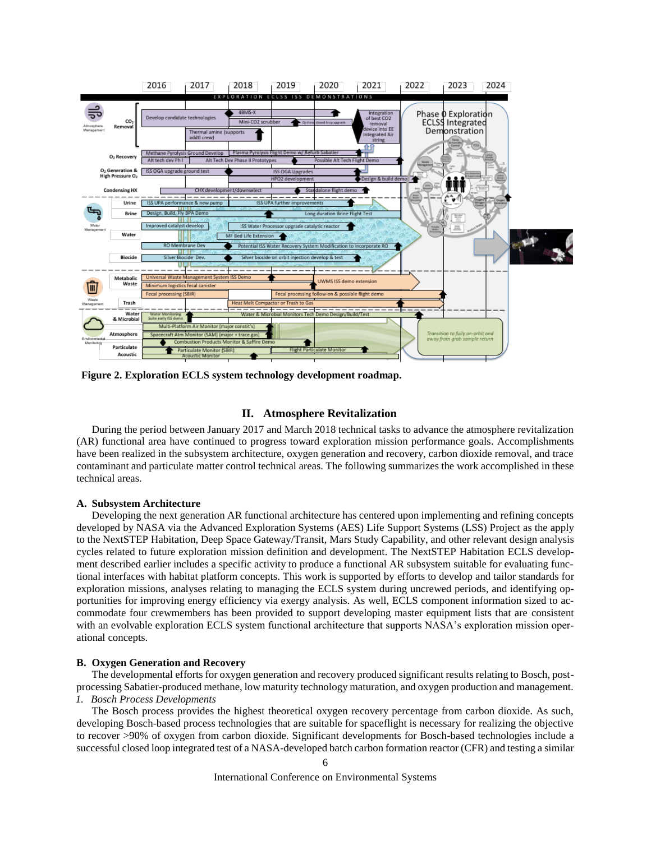

**Figure 2. Exploration ECLS system technology development roadmap.**

# **II. Atmosphere Revitalization**

During the period between January 2017 and March 2018 technical tasks to advance the atmosphere revitalization (AR) functional area have continued to progress toward exploration mission performance goals. Accomplishments have been realized in the subsystem architecture, oxygen generation and recovery, carbon dioxide removal, and trace contaminant and particulate matter control technical areas. The following summarizes the work accomplished in these technical areas.

# **A. Subsystem Architecture**

Developing the next generation AR functional architecture has centered upon implementing and refining concepts developed by NASA via the Advanced Exploration Systems (AES) Life Support Systems (LSS) Project as the apply to the NextSTEP Habitation, Deep Space Gateway/Transit, Mars Study Capability, and other relevant design analysis cycles related to future exploration mission definition and development. The NextSTEP Habitation ECLS development described earlier includes a specific activity to produce a functional AR subsystem suitable for evaluating functional interfaces with habitat platform concepts. This work is supported by efforts to develop and tailor standards for exploration missions, analyses relating to managing the ECLS system during uncrewed periods, and identifying opportunities for improving energy efficiency via exergy analysis. As well, ECLS component information sized to accommodate four crewmembers has been provided to support developing master equipment lists that are consistent with an evolvable exploration ECLS system functional architecture that supports NASA's exploration mission operational concepts.

# **B. Oxygen Generation and Recovery**

The developmental efforts for oxygen generation and recovery produced significant results relating to Bosch, postprocessing Sabatier-produced methane, low maturity technology maturation, and oxygen production and management. *1. Bosch Process Developments*

The Bosch process provides the highest theoretical oxygen recovery percentage from carbon dioxide. As such, developing Bosch-based process technologies that are suitable for spaceflight is necessary for realizing the objective to recover >90% of oxygen from carbon dioxide. Significant developments for Bosch-based technologies include a successful closed loop integrated test of a NASA-developed batch carbon formation reactor (CFR) and testing a similar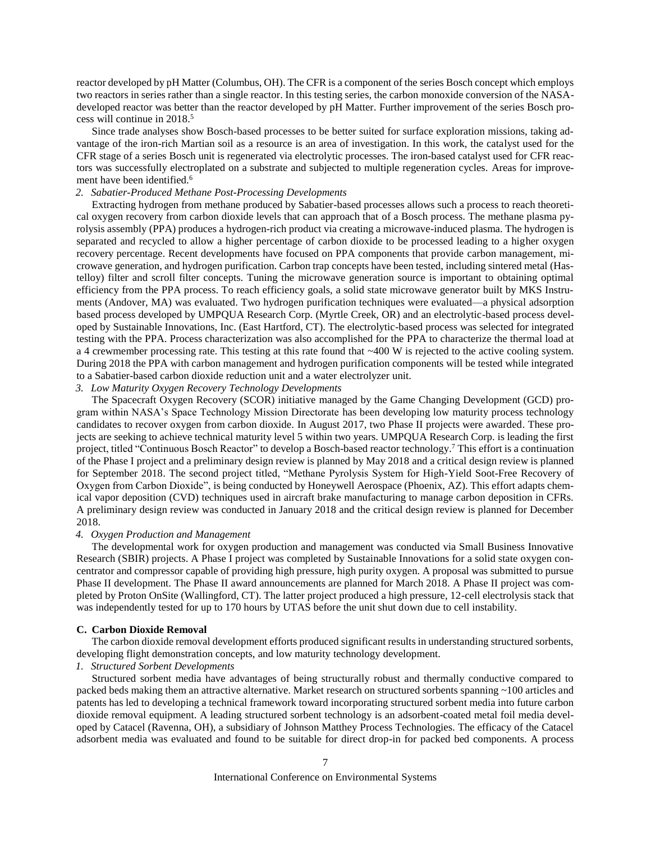reactor developed by pH Matter (Columbus, OH). The CFR is a component of the series Bosch concept which employs two reactors in series rather than a single reactor. In this testing series, the carbon monoxide conversion of the NASAdeveloped reactor was better than the reactor developed by pH Matter. Further improvement of the series Bosch process will continue in 2018. 5

Since trade analyses show Bosch-based processes to be better suited for surface exploration missions, taking advantage of the iron-rich Martian soil as a resource is an area of investigation. In this work, the catalyst used for the CFR stage of a series Bosch unit is regenerated via electrolytic processes. The iron-based catalyst used for CFR reactors was successfully electroplated on a substrate and subjected to multiple regeneration cycles. Areas for improvement have been identified.<sup>6</sup>

# *2. Sabatier-Produced Methane Post-Processing Developments*

Extracting hydrogen from methane produced by Sabatier-based processes allows such a process to reach theoretical oxygen recovery from carbon dioxide levels that can approach that of a Bosch process. The methane plasma pyrolysis assembly (PPA) produces a hydrogen-rich product via creating a microwave-induced plasma. The hydrogen is separated and recycled to allow a higher percentage of carbon dioxide to be processed leading to a higher oxygen recovery percentage. Recent developments have focused on PPA components that provide carbon management, microwave generation, and hydrogen purification. Carbon trap concepts have been tested, including sintered metal (Hastelloy) filter and scroll filter concepts. Tuning the microwave generation source is important to obtaining optimal efficiency from the PPA process. To reach efficiency goals, a solid state microwave generator built by MKS Instruments (Andover, MA) was evaluated. Two hydrogen purification techniques were evaluated—a physical adsorption based process developed by UMPQUA Research Corp. (Myrtle Creek, OR) and an electrolytic-based process developed by Sustainable Innovations, Inc. (East Hartford, CT). The electrolytic-based process was selected for integrated testing with the PPA. Process characterization was also accomplished for the PPA to characterize the thermal load at a 4 crewmember processing rate. This testing at this rate found that  $\sim$ 400 W is rejected to the active cooling system. During 2018 the PPA with carbon management and hydrogen purification components will be tested while integrated to a Sabatier-based carbon dioxide reduction unit and a water electrolyzer unit.

# *3. Low Maturity Oxygen Recovery Technology Developments*

The Spacecraft Oxygen Recovery (SCOR) initiative managed by the Game Changing Development (GCD) program within NASA's Space Technology Mission Directorate has been developing low maturity process technology candidates to recover oxygen from carbon dioxide. In August 2017, two Phase II projects were awarded. These projects are seeking to achieve technical maturity level 5 within two years. UMPQUA Research Corp. is leading the first project, titled "Continuous Bosch Reactor" to develop a Bosch-based reactor technology.<sup>7</sup> This effort is a continuation of the Phase I project and a preliminary design review is planned by May 2018 and a critical design review is planned for September 2018. The second project titled, "Methane Pyrolysis System for High-Yield Soot-Free Recovery of Oxygen from Carbon Dioxide", is being conducted by Honeywell Aerospace (Phoenix, AZ). This effort adapts chemical vapor deposition (CVD) techniques used in aircraft brake manufacturing to manage carbon deposition in CFRs. A preliminary design review was conducted in January 2018 and the critical design review is planned for December 2018.

#### *4. Oxygen Production and Management*

The developmental work for oxygen production and management was conducted via Small Business Innovative Research (SBIR) projects. A Phase I project was completed by Sustainable Innovations for a solid state oxygen concentrator and compressor capable of providing high pressure, high purity oxygen. A proposal was submitted to pursue Phase II development. The Phase II award announcements are planned for March 2018. A Phase II project was completed by Proton OnSite (Wallingford, CT). The latter project produced a high pressure, 12-cell electrolysis stack that was independently tested for up to 170 hours by UTAS before the unit shut down due to cell instability.

#### **C. Carbon Dioxide Removal**

The carbon dioxide removal development efforts produced significant results in understanding structured sorbents, developing flight demonstration concepts, and low maturity technology development.

# *1. Structured Sorbent Developments*

Structured sorbent media have advantages of being structurally robust and thermally conductive compared to packed beds making them an attractive alternative. Market research on structured sorbents spanning ~100 articles and patents has led to developing a technical framework toward incorporating structured sorbent media into future carbon dioxide removal equipment. A leading structured sorbent technology is an adsorbent-coated metal foil media developed by Catacel (Ravenna, OH), a subsidiary of Johnson Matthey Process Technologies. The efficacy of the Catacel adsorbent media was evaluated and found to be suitable for direct drop-in for packed bed components. A process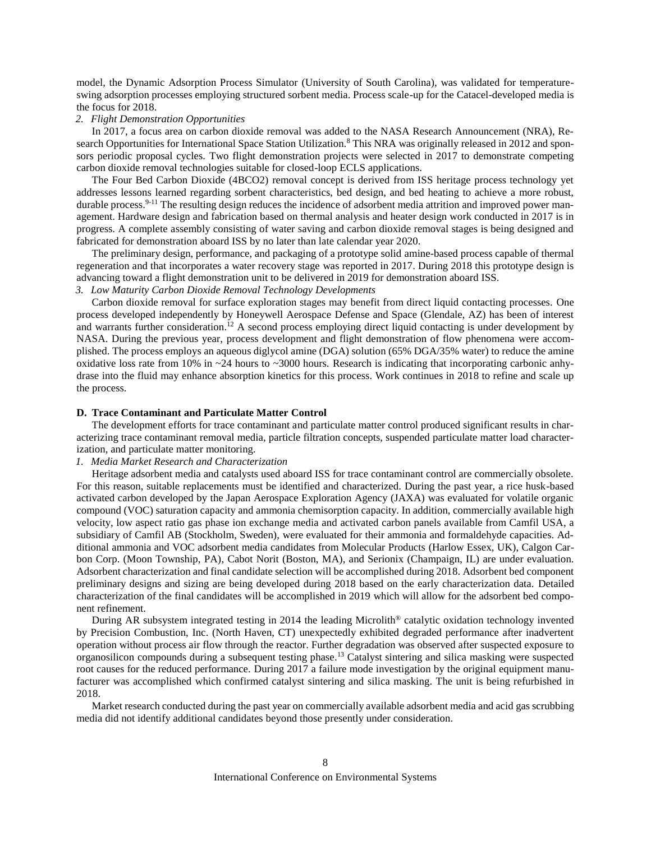model, the Dynamic Adsorption Process Simulator (University of South Carolina), was validated for temperatureswing adsorption processes employing structured sorbent media. Process scale-up for the Catacel-developed media is the focus for 2018.

### *2. Flight Demonstration Opportunities*

In 2017, a focus area on carbon dioxide removal was added to the NASA Research Announcement (NRA), Research Opportunities for International Space Station Utilization.<sup>8</sup> This NRA was originally released in 2012 and sponsors periodic proposal cycles. Two flight demonstration projects were selected in 2017 to demonstrate competing carbon dioxide removal technologies suitable for closed-loop ECLS applications.

The Four Bed Carbon Dioxide (4BCO2) removal concept is derived from ISS heritage process technology yet addresses lessons learned regarding sorbent characteristics, bed design, and bed heating to achieve a more robust, durable process.<sup>9-11</sup> The resulting design reduces the incidence of adsorbent media attrition and improved power management. Hardware design and fabrication based on thermal analysis and heater design work conducted in 2017 is in progress. A complete assembly consisting of water saving and carbon dioxide removal stages is being designed and fabricated for demonstration aboard ISS by no later than late calendar year 2020.

The preliminary design, performance, and packaging of a prototype solid amine-based process capable of thermal regeneration and that incorporates a water recovery stage was reported in 2017. During 2018 this prototype design is advancing toward a flight demonstration unit to be delivered in 2019 for demonstration aboard ISS.

# *3. Low Maturity Carbon Dioxide Removal Technology Developments*

Carbon dioxide removal for surface exploration stages may benefit from direct liquid contacting processes. One process developed independently by Honeywell Aerospace Defense and Space (Glendale, AZ) has been of interest and warrants further consideration.<sup>12</sup> A second process employing direct liquid contacting is under development by NASA. During the previous year, process development and flight demonstration of flow phenomena were accomplished. The process employs an aqueous diglycol amine (DGA) solution (65% DGA/35% water) to reduce the amine oxidative loss rate from 10% in  $\sim$ 24 hours to  $\sim$ 3000 hours. Research is indicating that incorporating carbonic anhydrase into the fluid may enhance absorption kinetics for this process. Work continues in 2018 to refine and scale up the process.

## **D. Trace Contaminant and Particulate Matter Control**

The development efforts for trace contaminant and particulate matter control produced significant results in characterizing trace contaminant removal media, particle filtration concepts, suspended particulate matter load characterization, and particulate matter monitoring.

# *1. Media Market Research and Characterization*

Heritage adsorbent media and catalysts used aboard ISS for trace contaminant control are commercially obsolete. For this reason, suitable replacements must be identified and characterized. During the past year, a rice husk-based activated carbon developed by the Japan Aerospace Exploration Agency (JAXA) was evaluated for volatile organic compound (VOC) saturation capacity and ammonia chemisorption capacity. In addition, commercially available high velocity, low aspect ratio gas phase ion exchange media and activated carbon panels available from Camfil USA, a subsidiary of Camfil AB (Stockholm, Sweden), were evaluated for their ammonia and formaldehyde capacities. Additional ammonia and VOC adsorbent media candidates from Molecular Products (Harlow Essex, UK), Calgon Carbon Corp. (Moon Township, PA), Cabot Norit (Boston, MA), and Serionix (Champaign, IL) are under evaluation. Adsorbent characterization and final candidate selection will be accomplished during 2018. Adsorbent bed component preliminary designs and sizing are being developed during 2018 based on the early characterization data. Detailed characterization of the final candidates will be accomplished in 2019 which will allow for the adsorbent bed component refinement.

During AR subsystem integrated testing in 2014 the leading Microlith® catalytic oxidation technology invented by Precision Combustion, Inc. (North Haven, CT) unexpectedly exhibited degraded performance after inadvertent operation without process air flow through the reactor. Further degradation was observed after suspected exposure to organosilicon compounds during a subsequent testing phase. <sup>13</sup> Catalyst sintering and silica masking were suspected root causes for the reduced performance. During 2017 a failure mode investigation by the original equipment manufacturer was accomplished which confirmed catalyst sintering and silica masking. The unit is being refurbished in 2018.

Market research conducted during the past year on commercially available adsorbent media and acid gas scrubbing media did not identify additional candidates beyond those presently under consideration.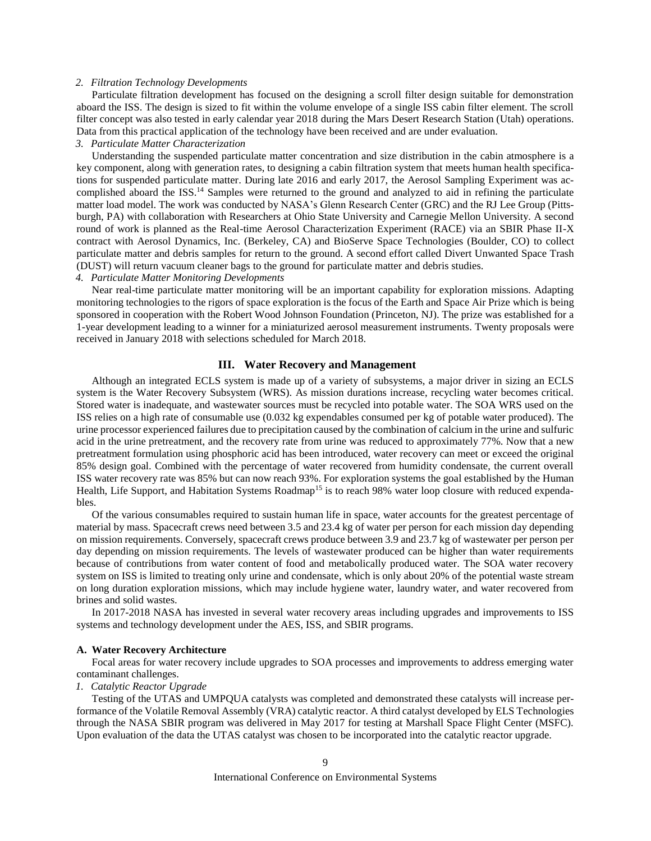# *2. Filtration Technology Developments*

Particulate filtration development has focused on the designing a scroll filter design suitable for demonstration aboard the ISS. The design is sized to fit within the volume envelope of a single ISS cabin filter element. The scroll filter concept was also tested in early calendar year 2018 during the Mars Desert Research Station (Utah) operations. Data from this practical application of the technology have been received and are under evaluation.

# *3. Particulate Matter Characterization*

Understanding the suspended particulate matter concentration and size distribution in the cabin atmosphere is a key component, along with generation rates, to designing a cabin filtration system that meets human health specifications for suspended particulate matter. During late 2016 and early 2017, the Aerosol Sampling Experiment was accomplished aboard the ISS.<sup>14</sup> Samples were returned to the ground and analyzed to aid in refining the particulate matter load model. The work was conducted by NASA's Glenn Research Center (GRC) and the RJ Lee Group (Pittsburgh, PA) with collaboration with Researchers at Ohio State University and Carnegie Mellon University. A second round of work is planned as the Real-time Aerosol Characterization Experiment (RACE) via an SBIR Phase II-X contract with Aerosol Dynamics, Inc. (Berkeley, CA) and BioServe Space Technologies (Boulder, CO) to collect particulate matter and debris samples for return to the ground. A second effort called Divert Unwanted Space Trash (DUST) will return vacuum cleaner bags to the ground for particulate matter and debris studies.

# *4. Particulate Matter Monitoring Developments*

Near real-time particulate matter monitoring will be an important capability for exploration missions. Adapting monitoring technologies to the rigors of space exploration is the focus of the Earth and Space Air Prize which is being sponsored in cooperation with the Robert Wood Johnson Foundation (Princeton, NJ). The prize was established for a 1-year development leading to a winner for a miniaturized aerosol measurement instruments. Twenty proposals were received in January 2018 with selections scheduled for March 2018.

# **III. Water Recovery and Management**

Although an integrated ECLS system is made up of a variety of subsystems, a major driver in sizing an ECLS system is the Water Recovery Subsystem (WRS). As mission durations increase, recycling water becomes critical. Stored water is inadequate, and wastewater sources must be recycled into potable water. The SOA WRS used on the ISS relies on a high rate of consumable use (0.032 kg expendables consumed per kg of potable water produced). The urine processor experienced failures due to precipitation caused by the combination of calcium in the urine and sulfuric acid in the urine pretreatment, and the recovery rate from urine was reduced to approximately 77%. Now that a new pretreatment formulation using phosphoric acid has been introduced, water recovery can meet or exceed the original 85% design goal. Combined with the percentage of water recovered from humidity condensate, the current overall ISS water recovery rate was 85% but can now reach 93%. For exploration systems the goal established by the Human Health, Life Support, and Habitation Systems Roadmap<sup>15</sup> is to reach 98% water loop closure with reduced expendables.

Of the various consumables required to sustain human life in space, water accounts for the greatest percentage of material by mass. Spacecraft crews need between 3.5 and 23.4 kg of water per person for each mission day depending on mission requirements. Conversely, spacecraft crews produce between 3.9 and 23.7 kg of wastewater per person per day depending on mission requirements. The levels of wastewater produced can be higher than water requirements because of contributions from water content of food and metabolically produced water. The SOA water recovery system on ISS is limited to treating only urine and condensate, which is only about 20% of the potential waste stream on long duration exploration missions, which may include hygiene water, laundry water, and water recovered from brines and solid wastes.

In 2017-2018 NASA has invested in several water recovery areas including upgrades and improvements to ISS systems and technology development under the AES, ISS, and SBIR programs.

# **A. Water Recovery Architecture**

Focal areas for water recovery include upgrades to SOA processes and improvements to address emerging water contaminant challenges.

#### *1. Catalytic Reactor Upgrade*

Testing of the UTAS and UMPQUA catalysts was completed and demonstrated these catalysts will increase performance of the Volatile Removal Assembly (VRA) catalytic reactor. A third catalyst developed by ELS Technologies through the NASA SBIR program was delivered in May 2017 for testing at Marshall Space Flight Center (MSFC). Upon evaluation of the data the UTAS catalyst was chosen to be incorporated into the catalytic reactor upgrade.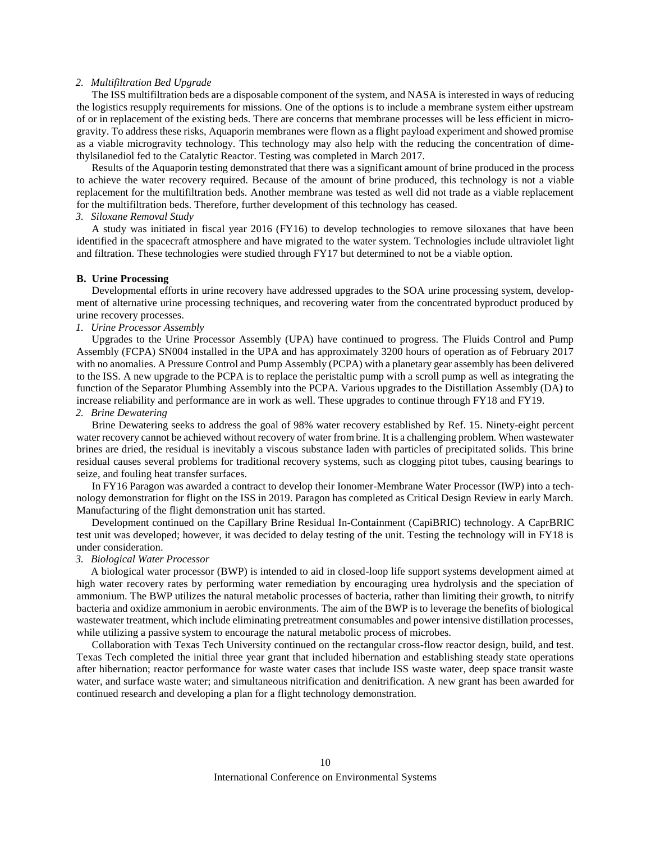# *2. Multifiltration Bed Upgrade*

The ISS multifiltration beds are a disposable component of the system, and NASA is interested in ways of reducing the logistics resupply requirements for missions. One of the options is to include a membrane system either upstream of or in replacement of the existing beds. There are concerns that membrane processes will be less efficient in microgravity. To address these risks, Aquaporin membranes were flown as a flight payload experiment and showed promise as a viable microgravity technology. This technology may also help with the reducing the concentration of dimethylsilanediol fed to the Catalytic Reactor. Testing was completed in March 2017.

Results of the Aquaporin testing demonstrated that there was a significant amount of brine produced in the process to achieve the water recovery required. Because of the amount of brine produced, this technology is not a viable replacement for the multifiltration beds. Another membrane was tested as well did not trade as a viable replacement for the multifiltration beds. Therefore, further development of this technology has ceased.

# *3. Siloxane Removal Study*

A study was initiated in fiscal year 2016 (FY16) to develop technologies to remove siloxanes that have been identified in the spacecraft atmosphere and have migrated to the water system. Technologies include ultraviolet light and filtration. These technologies were studied through FY17 but determined to not be a viable option.

#### **B. Urine Processing**

Developmental efforts in urine recovery have addressed upgrades to the SOA urine processing system, development of alternative urine processing techniques, and recovering water from the concentrated byproduct produced by urine recovery processes.

# *1. Urine Processor Assembly*

Upgrades to the Urine Processor Assembly (UPA) have continued to progress. The Fluids Control and Pump Assembly (FCPA) SN004 installed in the UPA and has approximately 3200 hours of operation as of February 2017 with no anomalies. A Pressure Control and Pump Assembly (PCPA) with a planetary gear assembly has been delivered to the ISS. A new upgrade to the PCPA is to replace the peristaltic pump with a scroll pump as well as integrating the function of the Separator Plumbing Assembly into the PCPA. Various upgrades to the Distillation Assembly (DA) to increase reliability and performance are in work as well. These upgrades to continue through FY18 and FY19.

## *2. Brine Dewatering*

Brine Dewatering seeks to address the goal of 98% water recovery established by Ref. 15. Ninety-eight percent water recovery cannot be achieved without recovery of water from brine. It is a challenging problem. When wastewater brines are dried, the residual is inevitably a viscous substance laden with particles of precipitated solids. This brine residual causes several problems for traditional recovery systems, such as clogging pitot tubes, causing bearings to seize, and fouling heat transfer surfaces.

In FY16 Paragon was awarded a contract to develop their Ionomer-Membrane Water Processor (IWP) into a technology demonstration for flight on the ISS in 2019. Paragon has completed as Critical Design Review in early March. Manufacturing of the flight demonstration unit has started.

Development continued on the Capillary Brine Residual In-Containment (CapiBRIC) technology. A CaprBRIC test unit was developed; however, it was decided to delay testing of the unit. Testing the technology will in FY18 is under consideration.

# *3. Biological Water Processor*

A biological water processor (BWP) is intended to aid in closed-loop life support systems development aimed at high water recovery rates by performing water remediation by encouraging urea hydrolysis and the speciation of ammonium. The BWP utilizes the natural metabolic processes of bacteria, rather than limiting their growth, to nitrify bacteria and oxidize ammonium in aerobic environments. The aim of the BWP is to leverage the benefits of biological wastewater treatment, which include eliminating pretreatment consumables and power intensive distillation processes, while utilizing a passive system to encourage the natural metabolic process of microbes.

Collaboration with Texas Tech University continued on the rectangular cross-flow reactor design, build, and test. Texas Tech completed the initial three year grant that included hibernation and establishing steady state operations after hibernation; reactor performance for waste water cases that include ISS waste water, deep space transit waste water, and surface waste water; and simultaneous nitrification and denitrification. A new grant has been awarded for continued research and developing a plan for a flight technology demonstration.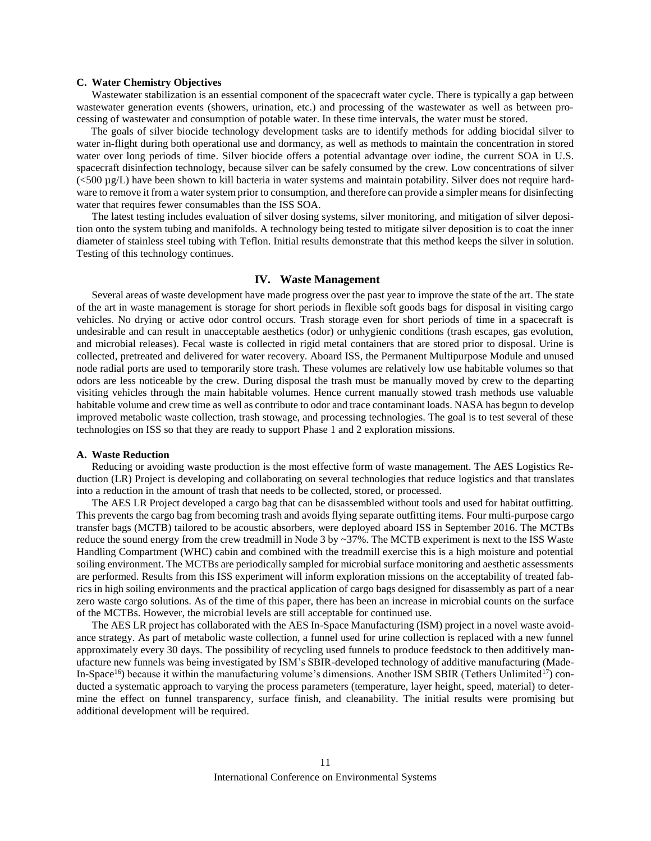# **C. Water Chemistry Objectives**

Wastewater stabilization is an essential component of the spacecraft water cycle. There is typically a gap between wastewater generation events (showers, urination, etc.) and processing of the wastewater as well as between processing of wastewater and consumption of potable water. In these time intervals, the water must be stored.

The goals of silver biocide technology development tasks are to identify methods for adding biocidal silver to water in-flight during both operational use and dormancy, as well as methods to maintain the concentration in stored water over long periods of time. Silver biocide offers a potential advantage over iodine, the current SOA in U.S. spacecraft disinfection technology, because silver can be safely consumed by the crew. Low concentrations of silver (<500 µg/L) have been shown to kill bacteria in water systems and maintain potability. Silver does not require hardware to remove it from a water system prior to consumption, and therefore can provide a simpler means for disinfecting water that requires fewer consumables than the ISS SOA.

The latest testing includes evaluation of silver dosing systems, silver monitoring, and mitigation of silver deposition onto the system tubing and manifolds. A technology being tested to mitigate silver deposition is to coat the inner diameter of stainless steel tubing with Teflon. Initial results demonstrate that this method keeps the silver in solution. Testing of this technology continues.

# **IV. Waste Management**

Several areas of waste development have made progress over the past year to improve the state of the art. The state of the art in waste management is storage for short periods in flexible soft goods bags for disposal in visiting cargo vehicles. No drying or active odor control occurs. Trash storage even for short periods of time in a spacecraft is undesirable and can result in unacceptable aesthetics (odor) or unhygienic conditions (trash escapes, gas evolution, and microbial releases). Fecal waste is collected in rigid metal containers that are stored prior to disposal. Urine is collected, pretreated and delivered for water recovery. Aboard ISS, the Permanent Multipurpose Module and unused node radial ports are used to temporarily store trash. These volumes are relatively low use habitable volumes so that odors are less noticeable by the crew. During disposal the trash must be manually moved by crew to the departing visiting vehicles through the main habitable volumes. Hence current manually stowed trash methods use valuable habitable volume and crew time as well as contribute to odor and trace contaminant loads. NASA has begun to develop improved metabolic waste collection, trash stowage, and processing technologies. The goal is to test several of these technologies on ISS so that they are ready to support Phase 1 and 2 exploration missions.

# **A. Waste Reduction**

Reducing or avoiding waste production is the most effective form of waste management. The AES Logistics Reduction (LR) Project is developing and collaborating on several technologies that reduce logistics and that translates into a reduction in the amount of trash that needs to be collected, stored, or processed.

The AES LR Project developed a cargo bag that can be disassembled without tools and used for habitat outfitting. This prevents the cargo bag from becoming trash and avoids flying separate outfitting items. Four multi-purpose cargo transfer bags (MCTB) tailored to be acoustic absorbers, were deployed aboard ISS in September 2016. The MCTBs reduce the sound energy from the crew treadmill in Node 3 by ~37%. The MCTB experiment is next to the ISS Waste Handling Compartment (WHC) cabin and combined with the treadmill exercise this is a high moisture and potential soiling environment. The MCTBs are periodically sampled for microbial surface monitoring and aesthetic assessments are performed. Results from this ISS experiment will inform exploration missions on the acceptability of treated fabrics in high soiling environments and the practical application of cargo bags designed for disassembly as part of a near zero waste cargo solutions. As of the time of this paper, there has been an increase in microbial counts on the surface of the MCTBs. However, the microbial levels are still acceptable for continued use.

The AES LR project has collaborated with the AES In-Space Manufacturing (ISM) project in a novel waste avoidance strategy. As part of metabolic waste collection, a funnel used for urine collection is replaced with a new funnel approximately every 30 days. The possibility of recycling used funnels to produce feedstock to then additively manufacture new funnels was being investigated by ISM's SBIR-developed technology of additive manufacturing (Made-In-Space<sup>16</sup>) because it within the manufacturing volume's dimensions. Another ISM SBIR (Tethers Unlimited<sup>17</sup>) conducted a systematic approach to varying the process parameters (temperature, layer height, speed, material) to determine the effect on funnel transparency, surface finish, and cleanability. The initial results were promising but additional development will be required.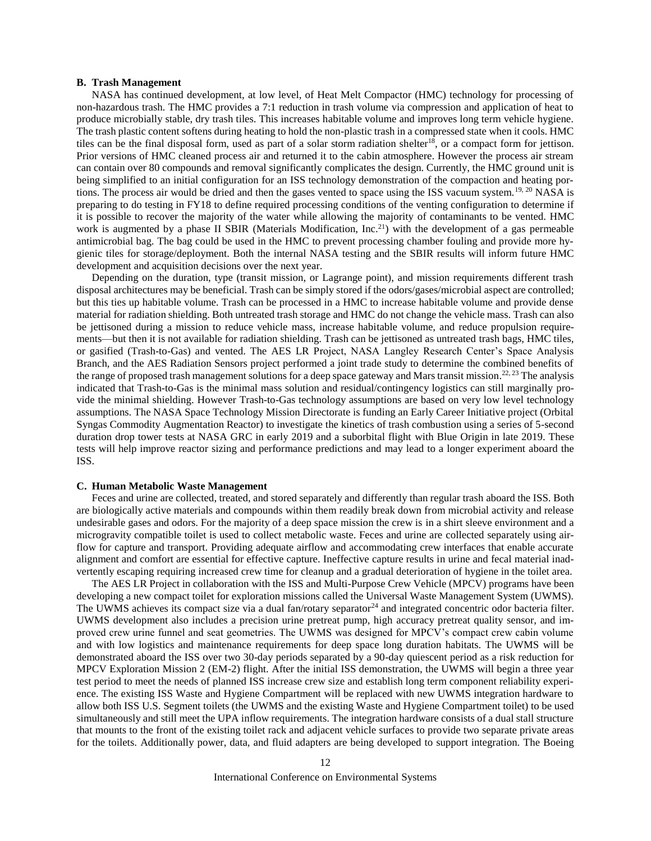### **B. Trash Management**

NASA has continued development, at low level, of Heat Melt Compactor (HMC) technology for processing of non-hazardous trash. The HMC provides a 7:1 reduction in trash volume via compression and application of heat to produce microbially stable, dry trash tiles. This increases habitable volume and improves long term vehicle hygiene. The trash plastic content softens during heating to hold the non-plastic trash in a compressed state when it cools. HMC tiles can be the final disposal form, used as part of a solar storm radiation shelter<sup>18</sup>, or a compact form for jettison. Prior versions of HMC cleaned process air and returned it to the cabin atmosphere. However the process air stream can contain over 80 compounds and removal significantly complicates the design. Currently, the HMC ground unit is being simplified to an initial configuration for an ISS technology demonstration of the compaction and heating portions. The process air would be dried and then the gases vented to space using the ISS vacuum system.<sup>19, 20</sup> NASA is preparing to do testing in FY18 to define required processing conditions of the venting configuration to determine if it is possible to recover the majority of the water while allowing the majority of contaminants to be vented. HMC work is augmented by a phase II SBIR (Materials Modification, Inc.<sup>21</sup>) with the development of a gas permeable antimicrobial bag. The bag could be used in the HMC to prevent processing chamber fouling and provide more hygienic tiles for storage/deployment. Both the internal NASA testing and the SBIR results will inform future HMC development and acquisition decisions over the next year.

Depending on the duration, type (transit mission, or Lagrange point), and mission requirements different trash disposal architectures may be beneficial. Trash can be simply stored if the odors/gases/microbial aspect are controlled; but this ties up habitable volume. Trash can be processed in a HMC to increase habitable volume and provide dense material for radiation shielding. Both untreated trash storage and HMC do not change the vehicle mass. Trash can also be jettisoned during a mission to reduce vehicle mass, increase habitable volume, and reduce propulsion requirements—but then it is not available for radiation shielding. Trash can be jettisoned as untreated trash bags, HMC tiles, or gasified (Trash-to-Gas) and vented. The AES LR Project, NASA Langley Research Center's Space Analysis Branch, and the AES Radiation Sensors project performed a joint trade study to determine the combined benefits of the range of proposed trash management solutions for a deep space gateway and Mars transit mission.<sup>22, 23</sup> The analysis indicated that Trash-to-Gas is the minimal mass solution and residual/contingency logistics can still marginally provide the minimal shielding. However Trash-to-Gas technology assumptions are based on very low level technology assumptions. The NASA Space Technology Mission Directorate is funding an Early Career Initiative project (Orbital Syngas Commodity Augmentation Reactor) to investigate the kinetics of trash combustion using a series of 5-second duration drop tower tests at NASA GRC in early 2019 and a suborbital flight with Blue Origin in late 2019. These tests will help improve reactor sizing and performance predictions and may lead to a longer experiment aboard the ISS.

#### **C. Human Metabolic Waste Management**

Feces and urine are collected, treated, and stored separately and differently than regular trash aboard the ISS. Both are biologically active materials and compounds within them readily break down from microbial activity and release undesirable gases and odors. For the majority of a deep space mission the crew is in a shirt sleeve environment and a microgravity compatible toilet is used to collect metabolic waste. Feces and urine are collected separately using airflow for capture and transport. Providing adequate airflow and accommodating crew interfaces that enable accurate alignment and comfort are essential for effective capture. Ineffective capture results in urine and fecal material inadvertently escaping requiring increased crew time for cleanup and a gradual deterioration of hygiene in the toilet area.

The AES LR Project in collaboration with the ISS and Multi-Purpose Crew Vehicle (MPCV) programs have been developing a new compact toilet for exploration missions called the Universal Waste Management System (UWMS). The UWMS achieves its compact size via a dual fan/rotary separator<sup>24</sup> and integrated concentric odor bacteria filter. UWMS development also includes a precision urine pretreat pump, high accuracy pretreat quality sensor, and improved crew urine funnel and seat geometries. The UWMS was designed for MPCV's compact crew cabin volume and with low logistics and maintenance requirements for deep space long duration habitats. The UWMS will be demonstrated aboard the ISS over two 30-day periods separated by a 90-day quiescent period as a risk reduction for MPCV Exploration Mission 2 (EM-2) flight. After the initial ISS demonstration, the UWMS will begin a three year test period to meet the needs of planned ISS increase crew size and establish long term component reliability experience. The existing ISS Waste and Hygiene Compartment will be replaced with new UWMS integration hardware to allow both ISS U.S. Segment toilets (the UWMS and the existing Waste and Hygiene Compartment toilet) to be used simultaneously and still meet the UPA inflow requirements. The integration hardware consists of a dual stall structure that mounts to the front of the existing toilet rack and adjacent vehicle surfaces to provide two separate private areas for the toilets. Additionally power, data, and fluid adapters are being developed to support integration. The Boeing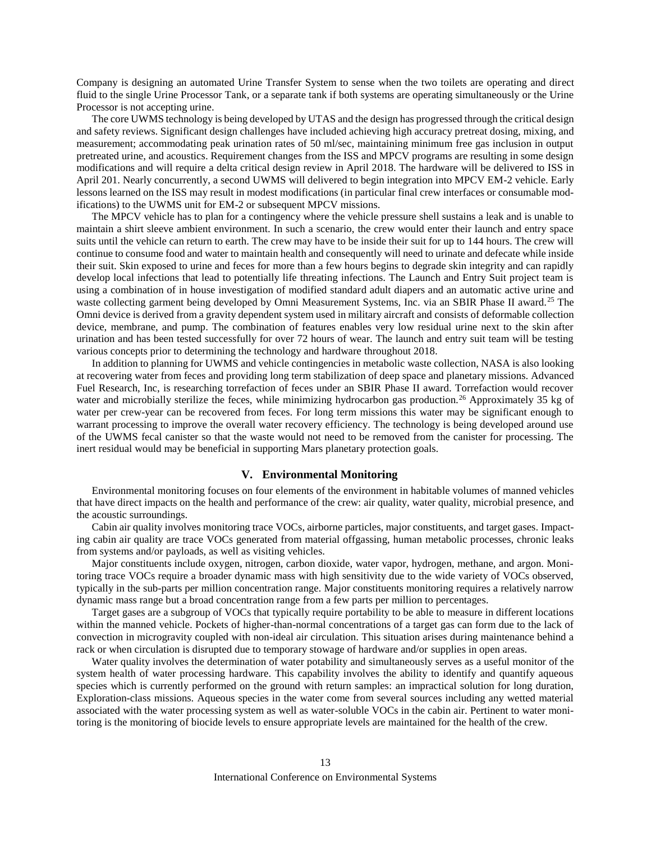Company is designing an automated Urine Transfer System to sense when the two toilets are operating and direct fluid to the single Urine Processor Tank, or a separate tank if both systems are operating simultaneously or the Urine Processor is not accepting urine.

The core UWMS technology is being developed by UTAS and the design has progressed through the critical design and safety reviews. Significant design challenges have included achieving high accuracy pretreat dosing, mixing, and measurement; accommodating peak urination rates of 50 ml/sec, maintaining minimum free gas inclusion in output pretreated urine, and acoustics. Requirement changes from the ISS and MPCV programs are resulting in some design modifications and will require a delta critical design review in April 2018. The hardware will be delivered to ISS in April 201. Nearly concurrently, a second UWMS will delivered to begin integration into MPCV EM-2 vehicle. Early lessons learned on the ISS may result in modest modifications (in particular final crew interfaces or consumable modifications) to the UWMS unit for EM-2 or subsequent MPCV missions.

The MPCV vehicle has to plan for a contingency where the vehicle pressure shell sustains a leak and is unable to maintain a shirt sleeve ambient environment. In such a scenario, the crew would enter their launch and entry space suits until the vehicle can return to earth. The crew may have to be inside their suit for up to 144 hours. The crew will continue to consume food and water to maintain health and consequently will need to urinate and defecate while inside their suit. Skin exposed to urine and feces for more than a few hours begins to degrade skin integrity and can rapidly develop local infections that lead to potentially life threating infections. The Launch and Entry Suit project team is using a combination of in house investigation of modified standard adult diapers and an automatic active urine and waste collecting garment being developed by Omni Measurement Systems, Inc. via an SBIR Phase II award.<sup>25</sup> The Omni device is derived from a gravity dependent system used in military aircraft and consists of deformable collection device, membrane, and pump. The combination of features enables very low residual urine next to the skin after urination and has been tested successfully for over 72 hours of wear. The launch and entry suit team will be testing various concepts prior to determining the technology and hardware throughout 2018.

In addition to planning for UWMS and vehicle contingencies in metabolic waste collection, NASA is also looking at recovering water from feces and providing long term stabilization of deep space and planetary missions. Advanced Fuel Research, Inc, is researching torrefaction of feces under an SBIR Phase II award. Torrefaction would recover water and microbially sterilize the feces, while minimizing hydrocarbon gas production.<sup>26</sup> Approximately 35 kg of water per crew-year can be recovered from feces. For long term missions this water may be significant enough to warrant processing to improve the overall water recovery efficiency. The technology is being developed around use of the UWMS fecal canister so that the waste would not need to be removed from the canister for processing. The inert residual would may be beneficial in supporting Mars planetary protection goals.

# **V. Environmental Monitoring**

Environmental monitoring focuses on four elements of the environment in habitable volumes of manned vehicles that have direct impacts on the health and performance of the crew: air quality, water quality, microbial presence, and the acoustic surroundings.

Cabin air quality involves monitoring trace VOCs, airborne particles, major constituents, and target gases. Impacting cabin air quality are trace VOCs generated from material offgassing, human metabolic processes, chronic leaks from systems and/or payloads, as well as visiting vehicles.

Major constituents include oxygen, nitrogen, carbon dioxide, water vapor, hydrogen, methane, and argon. Monitoring trace VOCs require a broader dynamic mass with high sensitivity due to the wide variety of VOCs observed, typically in the sub-parts per million concentration range. Major constituents monitoring requires a relatively narrow dynamic mass range but a broad concentration range from a few parts per million to percentages.

Target gases are a subgroup of VOCs that typically require portability to be able to measure in different locations within the manned vehicle. Pockets of higher-than-normal concentrations of a target gas can form due to the lack of convection in microgravity coupled with non-ideal air circulation. This situation arises during maintenance behind a rack or when circulation is disrupted due to temporary stowage of hardware and/or supplies in open areas.

Water quality involves the determination of water potability and simultaneously serves as a useful monitor of the system health of water processing hardware. This capability involves the ability to identify and quantify aqueous species which is currently performed on the ground with return samples: an impractical solution for long duration, Exploration-class missions. Aqueous species in the water come from several sources including any wetted material associated with the water processing system as well as water-soluble VOCs in the cabin air. Pertinent to water monitoring is the monitoring of biocide levels to ensure appropriate levels are maintained for the health of the crew.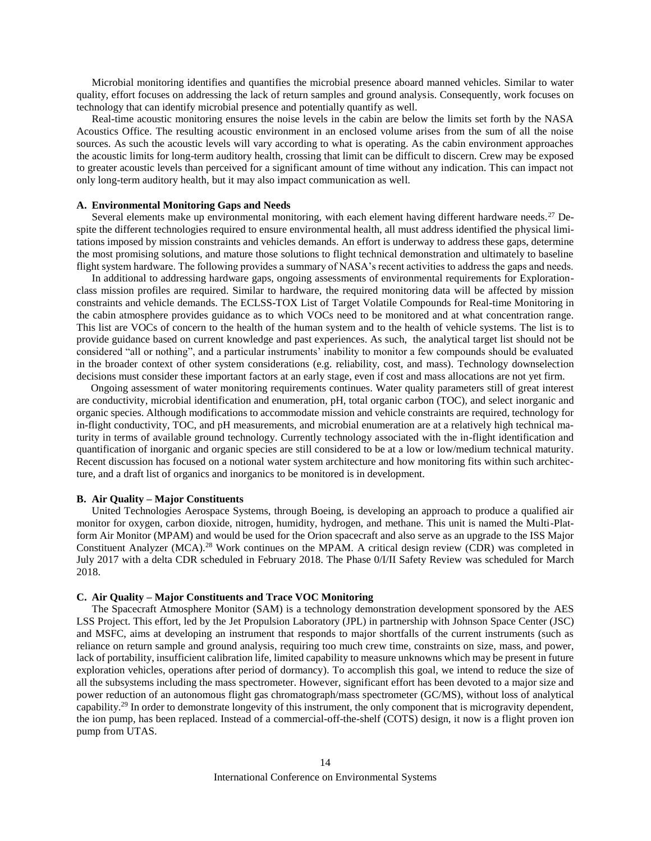Microbial monitoring identifies and quantifies the microbial presence aboard manned vehicles. Similar to water quality, effort focuses on addressing the lack of return samples and ground analysis. Consequently, work focuses on technology that can identify microbial presence and potentially quantify as well.

Real-time acoustic monitoring ensures the noise levels in the cabin are below the limits set forth by the NASA Acoustics Office. The resulting acoustic environment in an enclosed volume arises from the sum of all the noise sources. As such the acoustic levels will vary according to what is operating. As the cabin environment approaches the acoustic limits for long-term auditory health, crossing that limit can be difficult to discern. Crew may be exposed to greater acoustic levels than perceived for a significant amount of time without any indication. This can impact not only long-term auditory health, but it may also impact communication as well.

# **A. Environmental Monitoring Gaps and Needs**

Several elements make up environmental monitoring, with each element having different hardware needs.<sup>27</sup> Despite the different technologies required to ensure environmental health, all must address identified the physical limitations imposed by mission constraints and vehicles demands. An effort is underway to address these gaps, determine the most promising solutions, and mature those solutions to flight technical demonstration and ultimately to baseline flight system hardware. The following provides a summary of NASA's recent activities to address the gaps and needs.

In additional to addressing hardware gaps, ongoing assessments of environmental requirements for Explorationclass mission profiles are required. Similar to hardware, the required monitoring data will be affected by mission constraints and vehicle demands. The ECLSS-TOX List of Target Volatile Compounds for Real-time Monitoring in the cabin atmosphere provides guidance as to which VOCs need to be monitored and at what concentration range. This list are VOCs of concern to the health of the human system and to the health of vehicle systems. The list is to provide guidance based on current knowledge and past experiences. As such, the analytical target list should not be considered "all or nothing", and a particular instruments' inability to monitor a few compounds should be evaluated in the broader context of other system considerations (e.g. reliability, cost, and mass). Technology downselection decisions must consider these important factors at an early stage, even if cost and mass allocations are not yet firm.

Ongoing assessment of water monitoring requirements continues. Water quality parameters still of great interest are conductivity, microbial identification and enumeration, pH, total organic carbon (TOC), and select inorganic and organic species. Although modifications to accommodate mission and vehicle constraints are required, technology for in-flight conductivity, TOC, and pH measurements, and microbial enumeration are at a relatively high technical maturity in terms of available ground technology. Currently technology associated with the in-flight identification and quantification of inorganic and organic species are still considered to be at a low or low/medium technical maturity. Recent discussion has focused on a notional water system architecture and how monitoring fits within such architecture, and a draft list of organics and inorganics to be monitored is in development.

# **B. Air Quality – Major Constituents**

United Technologies Aerospace Systems, through Boeing, is developing an approach to produce a qualified air monitor for oxygen, carbon dioxide, nitrogen, humidity, hydrogen, and methane. This unit is named the Multi-Platform Air Monitor (MPAM) and would be used for the Orion spacecraft and also serve as an upgrade to the ISS Major Constituent Analyzer (MCA).<sup>28</sup> Work continues on the MPAM. A critical design review (CDR) was completed in July 2017 with a delta CDR scheduled in February 2018. The Phase 0/I/II Safety Review was scheduled for March 2018.

## **C. Air Quality – Major Constituents and Trace VOC Monitoring**

The Spacecraft Atmosphere Monitor (SAM) is a technology demonstration development sponsored by the AES LSS Project. This effort, led by the Jet Propulsion Laboratory (JPL) in partnership with Johnson Space Center (JSC) and MSFC, aims at developing an instrument that responds to major shortfalls of the current instruments (such as reliance on return sample and ground analysis, requiring too much crew time, constraints on size, mass, and power, lack of portability, insufficient calibration life, limited capability to measure unknowns which may be present in future exploration vehicles, operations after period of dormancy). To accomplish this goal, we intend to reduce the size of all the subsystems including the mass spectrometer. However, significant effort has been devoted to a major size and power reduction of an autonomous flight gas chromatograph/mass spectrometer (GC/MS), without loss of analytical capability.<sup>29</sup> In order to demonstrate longevity of this instrument, the only component that is microgravity dependent, the ion pump, has been replaced. Instead of a commercial-off-the-shelf (COTS) design, it now is a flight proven ion pump from UTAS.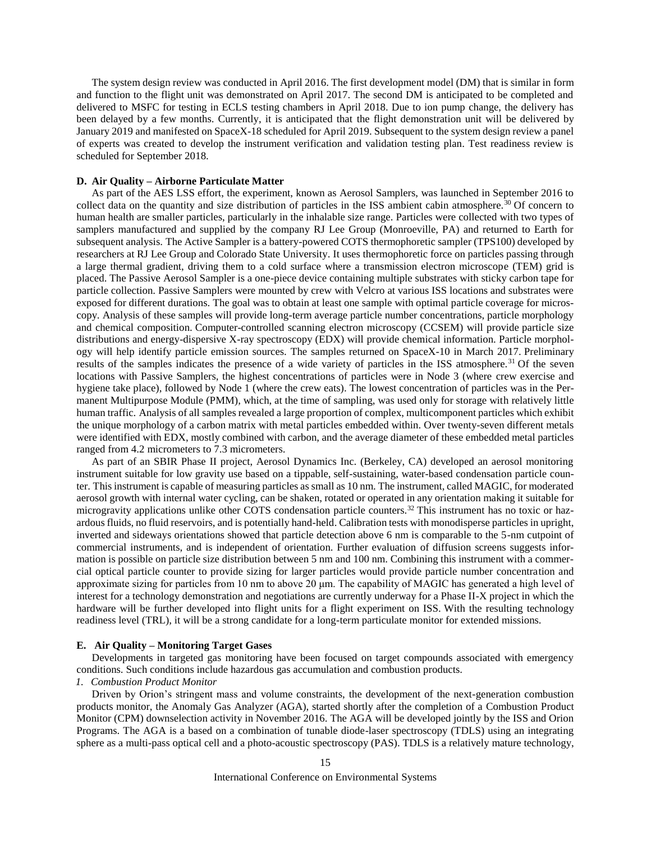The system design review was conducted in April 2016. The first development model (DM) that is similar in form and function to the flight unit was demonstrated on April 2017. The second DM is anticipated to be completed and delivered to MSFC for testing in ECLS testing chambers in April 2018. Due to ion pump change, the delivery has been delayed by a few months. Currently, it is anticipated that the flight demonstration unit will be delivered by January 2019 and manifested on SpaceX-18 scheduled for April 2019. Subsequent to the system design review a panel of experts was created to develop the instrument verification and validation testing plan. Test readiness review is scheduled for September 2018.

# **D. Air Quality – Airborne Particulate Matter**

As part of the AES LSS effort, the experiment, known as Aerosol Samplers, was launched in September 2016 to collect data on the quantity and size distribution of particles in the ISS ambient cabin atmosphere.<sup>30</sup> Of concern to human health are smaller particles, particularly in the inhalable size range. Particles were collected with two types of samplers manufactured and supplied by the company RJ Lee Group (Monroeville, PA) and returned to Earth for subsequent analysis. The Active Sampler is a battery-powered COTS thermophoretic sampler (TPS100) developed by researchers at RJ Lee Group and Colorado State University. It uses thermophoretic force on particles passing through a large thermal gradient, driving them to a cold surface where a transmission electron microscope (TEM) grid is placed. The Passive Aerosol Sampler is a one-piece device containing multiple substrates with sticky carbon tape for particle collection. Passive Samplers were mounted by crew with Velcro at various ISS locations and substrates were exposed for different durations. The goal was to obtain at least one sample with optimal particle coverage for microscopy. Analysis of these samples will provide long-term average particle number concentrations, particle morphology and chemical composition. Computer-controlled scanning electron microscopy (CCSEM) will provide particle size distributions and energy-dispersive X-ray spectroscopy (EDX) will provide chemical information. Particle morphology will help identify particle emission sources. The samples returned on SpaceX-10 in March 2017. Preliminary results of the samples indicates the presence of a wide variety of particles in the ISS atmosphere.<sup>31</sup> Of the seven locations with Passive Samplers, the highest concentrations of particles were in Node 3 (where crew exercise and hygiene take place), followed by Node 1 (where the crew eats). The lowest concentration of particles was in the Permanent Multipurpose Module (PMM), which, at the time of sampling, was used only for storage with relatively little human traffic. Analysis of all samples revealed a large proportion of complex, multicomponent particles which exhibit the unique morphology of a carbon matrix with metal particles embedded within. Over twenty-seven different metals were identified with EDX, mostly combined with carbon, and the average diameter of these embedded metal particles ranged from 4.2 micrometers to 7.3 micrometers.

As part of an SBIR Phase II project, Aerosol Dynamics Inc. (Berkeley, CA) developed an aerosol monitoring instrument suitable for low gravity use based on a tippable, self-sustaining, water-based condensation particle counter. This instrument is capable of measuring particles as small as 10 nm. The instrument, called MAGIC, for moderated aerosol growth with internal water cycling, can be shaken, rotated or operated in any orientation making it suitable for microgravity applications unlike other COTS condensation particle counters.<sup>32</sup> This instrument has no toxic or hazardous fluids, no fluid reservoirs, and is potentially hand-held. Calibration tests with monodisperse particles in upright, inverted and sideways orientations showed that particle detection above 6 nm is comparable to the 5-nm cutpoint of commercial instruments, and is independent of orientation. Further evaluation of diffusion screens suggests information is possible on particle size distribution between 5 nm and 100 nm. Combining this instrument with a commercial optical particle counter to provide sizing for larger particles would provide particle number concentration and approximate sizing for particles from 10 nm to above 20 μm. The capability of MAGIC has generated a high level of interest for a technology demonstration and negotiations are currently underway for a Phase II-X project in which the hardware will be further developed into flight units for a flight experiment on ISS. With the resulting technology readiness level (TRL), it will be a strong candidate for a long-term particulate monitor for extended missions.

#### **E. Air Quality – Monitoring Target Gases**

Developments in targeted gas monitoring have been focused on target compounds associated with emergency conditions. Such conditions include hazardous gas accumulation and combustion products.

# *1. Combustion Product Monitor*

Driven by Orion's stringent mass and volume constraints, the development of the next-generation combustion products monitor, the Anomaly Gas Analyzer (AGA), started shortly after the completion of a Combustion Product Monitor (CPM) downselection activity in November 2016. The AGA will be developed jointly by the ISS and Orion Programs. The AGA is a based on a combination of tunable diode-laser spectroscopy (TDLS) using an integrating sphere as a multi-pass optical cell and a photo-acoustic spectroscopy (PAS). TDLS is a relatively mature technology,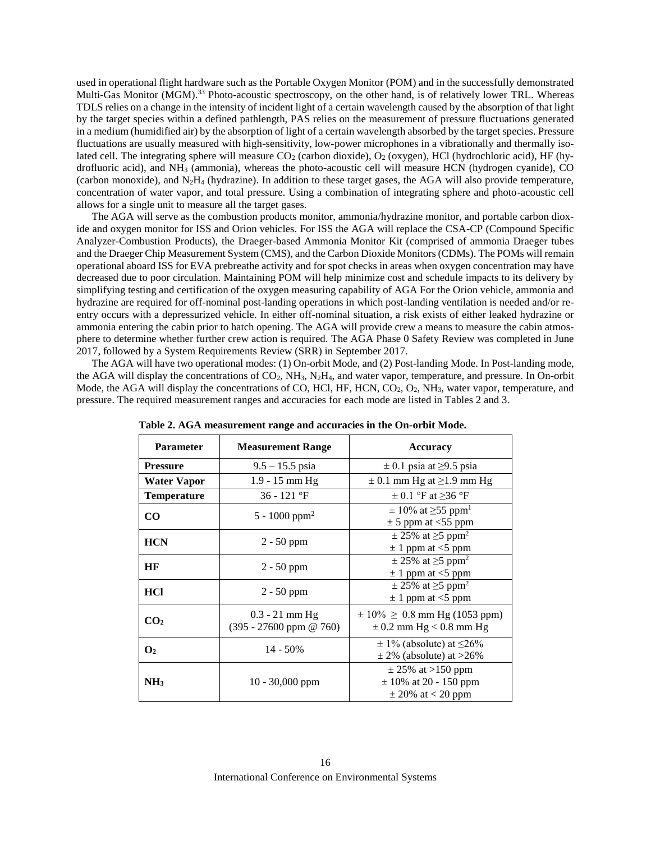used in operational flight hardware such as the Portable Oxygen Monitor (POM) and in the successfully demonstrated Multi-Gas Monitor (MGM).<sup>33</sup> Photo-acoustic spectroscopy, on the other hand, is of relatively lower TRL. Whereas TDLS relies on a change in the intensity of incident light of a certain wavelength caused by the absorption of that light by the target species within a defined pathlength, PAS relies on the measurement of pressure fluctuations generated in a medium (humidified air) by the absorption of light of a certain wavelength absorbed by the target species. Pressure fluctuations are usually measured with high-sensitivity, low-power microphones in a vibrationally and thermally isolated cell. The integrating sphere will measure  $CO<sub>2</sub>$  (carbon dioxide),  $O<sub>2</sub>$  (oxygen), HCl (hydrochloric acid), HF (hydrofluoric acid), and NH<sup>3</sup> (ammonia), whereas the photo-acoustic cell will measure HCN (hydrogen cyanide), CO (carbon monoxide), and  $N_2H_4$  (hydrazine). In addition to these target gases, the AGA will also provide temperature, concentration of water vapor, and total pressure. Using a combination of integrating sphere and photo-acoustic cell allows for a single unit to measure all the target gases.

The AGA will serve as the combustion products monitor, ammonia/hydrazine monitor, and portable carbon dioxide and oxygen monitor for ISS and Orion vehicles. For ISS the AGA will replace the CSA-CP (Compound Specific Analyzer-Combustion Products), the Draeger-based Ammonia Monitor Kit (comprised of ammonia Draeger tubes and the Draeger Chip Measurement System (CMS), and the Carbon Dioxide Monitors (CDMs). The POMs will remain operational aboard ISS for EVA prebreathe activity and for spot checks in areas when oxygen concentration may have decreased due to poor circulation. Maintaining POM will help minimize cost and schedule impacts to its delivery by simplifying testing and certification of the oxygen measuring capability of AGA For the Orion vehicle, ammonia and hydrazine are required for off-nominal post-landing operations in which post-landing ventilation is needed and/or reentry occurs with a depressurized vehicle. In either off-nominal situation, a risk exists of either leaked hydrazine or ammonia entering the cabin prior to hatch opening. The AGA will provide crew a means to measure the cabin atmosphere to determine whether further crew action is required. The AGA Phase 0 Safety Review was completed in June 2017, followed by a System Requirements Review (SRR) in September 2017.

The AGA will have two operational modes: (1) On-orbit Mode, and (2) Post-landing Mode. In Post-landing mode, the AGA will display the concentrations of  $CO_2$ , NH<sub>3</sub>, N<sub>2</sub>H<sub>4</sub>, and water vapor, temperature, and pressure. In On-orbit Mode, the AGA will display the concentrations of CO, HCl, HF, HCN, CO<sub>2</sub>, O<sub>2</sub>, NH<sub>3</sub>, water vapor, temperature, and pressure. The required measurement ranges and accuracies for each mode are listed in Tables 2 and 3.

| <b>Parameter</b>   | <b>Measurement Range</b>                      | <b>Accuracy</b>                                                             |
|--------------------|-----------------------------------------------|-----------------------------------------------------------------------------|
| <b>Pressure</b>    | $9.5 - 15.5$ psia                             | $\pm$ 0.1 psia at $\geq$ 9.5 psia                                           |
| Water Vapor        | $1.9 - 15$ mm Hg                              | $\pm$ 0.1 mm Hg at $\geq$ 1.9 mm Hg                                         |
| <b>Temperature</b> | $36 - 121$ °F                                 | $\pm$ 0.1 °F at $\geq$ 36 °F                                                |
| CO                 | 5 - 1000 ppm <sup>2</sup>                     | $\pm$ 10% at $\geq$ 55 ppm <sup>1</sup><br>$\pm$ 5 ppm at <55 ppm           |
| <b>HCN</b>         | $2 - 50$ ppm                                  | $\pm$ 25% at $\geq$ 5 ppm <sup>2</sup><br>$\pm$ 1 ppm at <5 ppm             |
| HF                 | $2 - 50$ ppm                                  | $\pm$ 25% at $\geq$ 5 ppm <sup>2</sup><br>$\pm$ 1 ppm at <5 ppm             |
| <b>HCl</b>         | $2 - 50$ ppm                                  | $\pm$ 25% at $\geq$ 5 ppm <sup>2</sup><br>$\pm$ 1 ppm at <5 ppm             |
| CO <sub>2</sub>    | $0.3 - 21$ mm Hg<br>$(395 - 27600$ ppm @ 760) | $\pm 10\% \geq 0.8$ mm Hg (1053 ppm)<br>$\pm$ 0.2 mm Hg < 0.8 mm Hg         |
| $\mathbf{O}_2$     | $14 - 50\%$                                   | $\pm$ 1% (absolute) at $\leq$ 26%<br>$\pm$ 2% (absolute) at >26%            |
| NH <sub>3</sub>    | $10 - 30,000$ ppm                             | $\pm$ 25% at >150 ppm<br>$\pm$ 10% at 20 - 150 ppm<br>$\pm$ 20% at < 20 ppm |

**Table 2. AGA measurement range and accuracies in the On-orbit Mode.**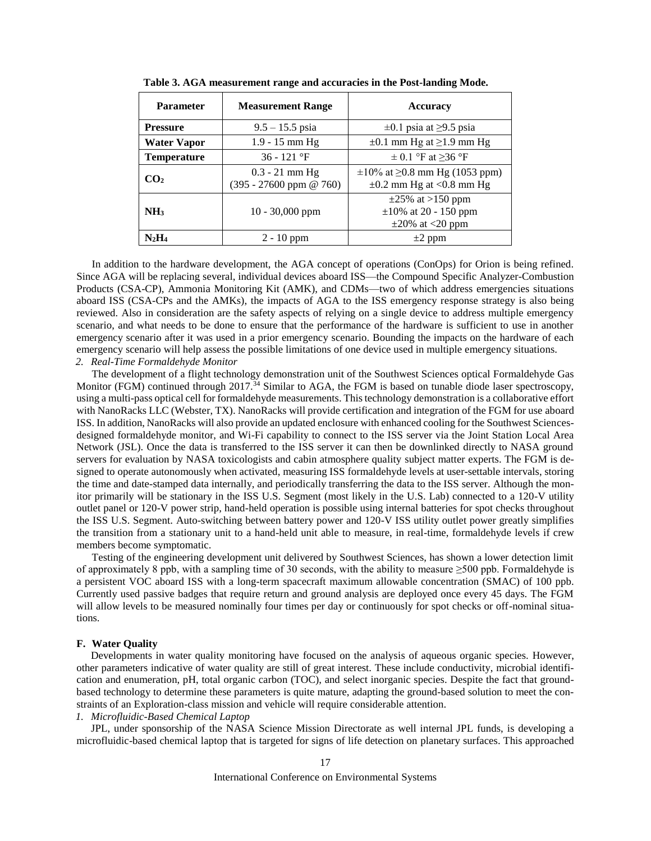| <b>Parameter</b>   | <b>Measurement Range</b>                               | <b>Accuracy</b>                                                               |
|--------------------|--------------------------------------------------------|-------------------------------------------------------------------------------|
| <b>Pressure</b>    | $9.5 - 15.5$ psia                                      | $\pm 0.1$ psia at $\geq 9.5$ psia                                             |
| <b>Water Vapor</b> | $1.9 - 15$ mm Hg                                       | $\pm 0.1$ mm Hg at $\geq 1.9$ mm Hg                                           |
| <b>Temperature</b> | $36 - 121$ °F                                          | $\pm$ 0.1 °F at $\geq$ 36 °F                                                  |
| CO2                | $0.3 - 21$ mm Hg<br>$(395 - 27600 \text{ ppm} \& 760)$ | $\pm 10\%$ at $\geq 0.8$ mm Hg (1053 ppm)<br>$\pm 0.2$ mm Hg at <0.8 mm Hg    |
| NH <sub>3</sub>    | $10 - 30,000$ ppm                                      | $\pm 25\%$ at >150 ppm<br>$\pm 10\%$ at 20 - 150 ppm<br>$\pm 20\%$ at <20 ppm |
| $N_2H_4$           | $2 - 10$ ppm                                           | $\pm 2$ ppm                                                                   |

**Table 3. AGA measurement range and accuracies in the Post-landing Mode.**

In addition to the hardware development, the AGA concept of operations (ConOps) for Orion is being refined. Since AGA will be replacing several, individual devices aboard ISS—the Compound Specific Analyzer-Combustion Products (CSA-CP), Ammonia Monitoring Kit (AMK), and CDMs—two of which address emergencies situations aboard ISS (CSA-CPs and the AMKs), the impacts of AGA to the ISS emergency response strategy is also being reviewed. Also in consideration are the safety aspects of relying on a single device to address multiple emergency scenario, and what needs to be done to ensure that the performance of the hardware is sufficient to use in another emergency scenario after it was used in a prior emergency scenario. Bounding the impacts on the hardware of each emergency scenario will help assess the possible limitations of one device used in multiple emergency situations. *2. Real-Time Formaldehyde Monitor*

The development of a flight technology demonstration unit of the Southwest Sciences optical Formaldehyde Gas Monitor (FGM) continued through 2017.<sup>34</sup> Similar to AGA, the FGM is based on tunable diode laser spectroscopy, using a multi-pass optical cell for formaldehyde measurements. This technology demonstration is a collaborative effort with NanoRacks LLC (Webster, TX). NanoRacks will provide certification and integration of the FGM for use aboard ISS. In addition, NanoRacks will also provide an updated enclosure with enhanced cooling for the Southwest Sciencesdesigned formaldehyde monitor, and Wi-Fi capability to connect to the ISS server via the Joint Station Local Area Network (JSL). Once the data is transferred to the ISS server it can then be downlinked directly to NASA ground servers for evaluation by NASA toxicologists and cabin atmosphere quality subject matter experts. The FGM is designed to operate autonomously when activated, measuring ISS formaldehyde levels at user-settable intervals, storing the time and date-stamped data internally, and periodically transferring the data to the ISS server. Although the monitor primarily will be stationary in the ISS U.S. Segment (most likely in the U.S. Lab) connected to a 120-V utility outlet panel or 120-V power strip, hand-held operation is possible using internal batteries for spot checks throughout the ISS U.S. Segment. Auto-switching between battery power and 120-V ISS utility outlet power greatly simplifies the transition from a stationary unit to a hand-held unit able to measure, in real-time, formaldehyde levels if crew members become symptomatic.

Testing of the engineering development unit delivered by Southwest Sciences, has shown a lower detection limit of approximately 8 ppb, with a sampling time of 30 seconds, with the ability to measure ≥500 ppb. Formaldehyde is a persistent VOC aboard ISS with a long-term spacecraft maximum allowable concentration (SMAC) of 100 ppb. Currently used passive badges that require return and ground analysis are deployed once every 45 days. The FGM will allow levels to be measured nominally four times per day or continuously for spot checks or off-nominal situations.

# **F. Water Quality**

Developments in water quality monitoring have focused on the analysis of aqueous organic species. However, other parameters indicative of water quality are still of great interest. These include conductivity, microbial identification and enumeration, pH, total organic carbon (TOC), and select inorganic species. Despite the fact that groundbased technology to determine these parameters is quite mature, adapting the ground-based solution to meet the constraints of an Exploration-class mission and vehicle will require considerable attention. *1. Microfluidic-Based Chemical Laptop*

JPL, under sponsorship of the NASA Science Mission Directorate as well internal JPL funds, is developing a microfluidic-based chemical laptop that is targeted for signs of life detection on planetary surfaces. This approached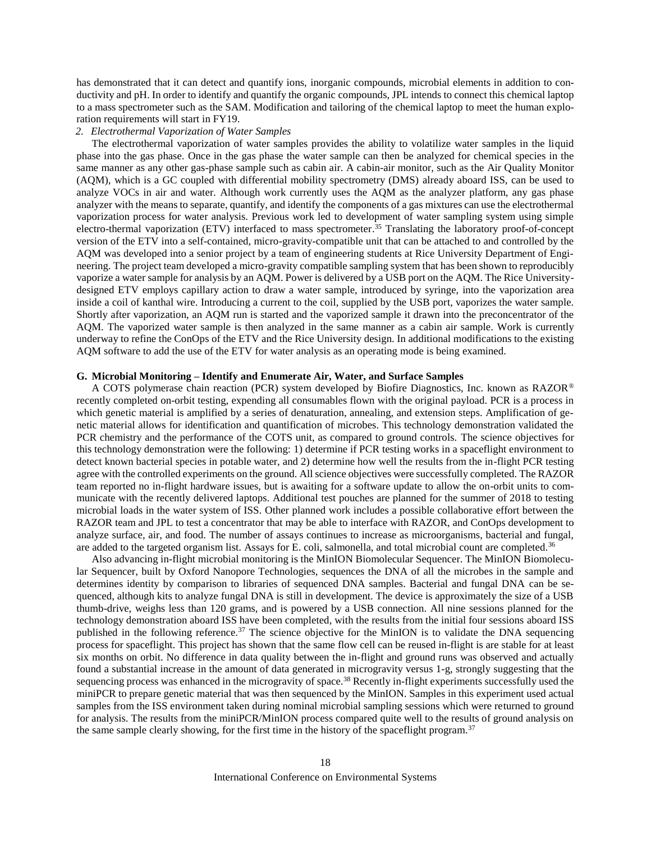has demonstrated that it can detect and quantify ions, inorganic compounds, microbial elements in addition to conductivity and pH. In order to identify and quantify the organic compounds, JPL intends to connect this chemical laptop to a mass spectrometer such as the SAM. Modification and tailoring of the chemical laptop to meet the human exploration requirements will start in FY19.

#### *2. Electrothermal Vaporization of Water Samples*

The electrothermal vaporization of water samples provides the ability to volatilize water samples in the liquid phase into the gas phase. Once in the gas phase the water sample can then be analyzed for chemical species in the same manner as any other gas-phase sample such as cabin air. A cabin-air monitor, such as the Air Quality Monitor (AQM), which is a GC coupled with differential mobility spectrometry (DMS) already aboard ISS, can be used to analyze VOCs in air and water*.* Although work currently uses the AQM as the analyzer platform, any gas phase analyzer with the means to separate, quantify, and identify the components of a gas mixtures can use the electrothermal vaporization process for water analysis. Previous work led to development of water sampling system using simple electro-thermal vaporization (ETV) interfaced to mass spectrometer.<sup>35</sup> Translating the laboratory proof-of-concept version of the ETV into a self-contained, micro-gravity-compatible unit that can be attached to and controlled by the AQM was developed into a senior project by a team of engineering students at Rice University Department of Engineering. The project team developed a micro-gravity compatible sampling system that has been shown to reproducibly vaporize a water sample for analysis by an AQM. Power is delivered by a USB port on the AQM. The Rice Universitydesigned ETV employs capillary action to draw a water sample, introduced by syringe, into the vaporization area inside a coil of kanthal wire. Introducing a current to the coil, supplied by the USB port, vaporizes the water sample. Shortly after vaporization, an AQM run is started and the vaporized sample it drawn into the preconcentrator of the AQM. The vaporized water sample is then analyzed in the same manner as a cabin air sample. Work is currently underway to refine the ConOps of the ETV and the Rice University design. In additional modifications to the existing AQM software to add the use of the ETV for water analysis as an operating mode is being examined.

#### **G. Microbial Monitoring – Identify and Enumerate Air, Water, and Surface Samples**

A COTS polymerase chain reaction (PCR) system developed by Biofire Diagnostics, Inc. known as RAZOR® recently completed on-orbit testing, expending all consumables flown with the original payload. PCR is a process in which genetic material is amplified by a series of denaturation, annealing, and extension steps. Amplification of genetic material allows for identification and quantification of microbes. This technology demonstration validated the PCR chemistry and the performance of the COTS unit, as compared to ground controls. The science objectives for this technology demonstration were the following: 1) determine if PCR testing works in a spaceflight environment to detect known bacterial species in potable water, and 2) determine how well the results from the in-flight PCR testing agree with the controlled experiments on the ground. All science objectives were successfully completed. The RAZOR team reported no in-flight hardware issues, but is awaiting for a software update to allow the on-orbit units to communicate with the recently delivered laptops. Additional test pouches are planned for the summer of 2018 to testing microbial loads in the water system of ISS. Other planned work includes a possible collaborative effort between the RAZOR team and JPL to test a concentrator that may be able to interface with RAZOR, and ConOps development to analyze surface, air, and food. The number of assays continues to increase as microorganisms, bacterial and fungal, are added to the targeted organism list. Assays for E. coli, salmonella, and total microbial count are completed.<sup>36</sup>

Also advancing in-flight microbial monitoring is the MinION Biomolecular Sequencer. The MinION Biomolecular Sequencer, built by Oxford Nanopore Technologies, sequences the DNA of all the microbes in the sample and determines identity by comparison to libraries of sequenced DNA samples. Bacterial and fungal DNA can be sequenced, although kits to analyze fungal DNA is still in development. The device is approximately the size of a USB thumb-drive, weighs less than 120 grams, and is powered by a USB connection. All nine sessions planned for the technology demonstration aboard ISS have been completed, with the results from the initial four sessions aboard ISS published in the following reference.<sup>37</sup> The science objective for the MinION is to validate the DNA sequencing process for spaceflight. This project has shown that the same flow cell can be reused in-flight is are stable for at least six months on orbit. No difference in data quality between the in-flight and ground runs was observed and actually found a substantial increase in the amount of data generated in microgravity versus 1-g, strongly suggesting that the sequencing process was enhanced in the microgravity of space.<sup>38</sup> Recently in-flight experiments successfully used the miniPCR to prepare genetic material that was then sequenced by the MinION. Samples in this experiment used actual samples from the ISS environment taken during nominal microbial sampling sessions which were returned to ground for analysis. The results from the miniPCR/MinION process compared quite well to the results of ground analysis on the same sample clearly showing, for the first time in the history of the spaceflight program.37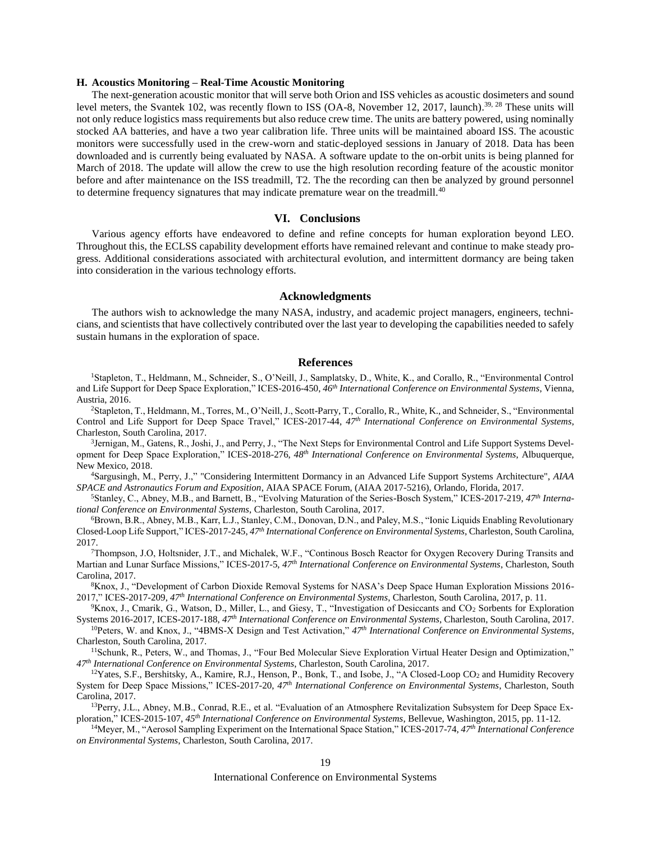### **H. Acoustics Monitoring – Real-Time Acoustic Monitoring**

The next-generation acoustic monitor that will serve both Orion and ISS vehicles as acoustic dosimeters and sound level meters, the Svantek 102, was recently flown to ISS (OA-8, November 12, 2017, launch).<sup>39, 28</sup> These units will not only reduce logistics mass requirements but also reduce crew time. The units are battery powered, using nominally stocked AA batteries, and have a two year calibration life. Three units will be maintained aboard ISS. The acoustic monitors were successfully used in the crew-worn and static-deployed sessions in January of 2018. Data has been downloaded and is currently being evaluated by NASA. A software update to the on-orbit units is being planned for March of 2018. The update will allow the crew to use the high resolution recording feature of the acoustic monitor before and after maintenance on the ISS treadmill, T2. The the recording can then be analyzed by ground personnel to determine frequency signatures that may indicate premature wear on the treadmill.<sup>40</sup>

#### **VI. Conclusions**

Various agency efforts have endeavored to define and refine concepts for human exploration beyond LEO. Throughout this, the ECLSS capability development efforts have remained relevant and continue to make steady progress. Additional considerations associated with architectural evolution, and intermittent dormancy are being taken into consideration in the various technology efforts.

#### **Acknowledgments**

The authors wish to acknowledge the many NASA, industry, and academic project managers, engineers, technicians, and scientists that have collectively contributed over the last year to developing the capabilities needed to safely sustain humans in the exploration of space.

#### **References**

<sup>1</sup>Stapleton, T., Heldmann, M., Schneider, S., O'Neill, J., Samplatsky, D., White, K., and Corallo, R., "Environmental Control and Life Support for Deep Space Exploration," ICES-2016-450, *46th International Conference on Environmental Systems*, Vienna, Austria, 2016.

<sup>2</sup>Stapleton, T., Heldmann, M., Torres, M., O'Neill, J., Scott-Parry, T., Corallo, R., White, K., and Schneider, S., "Environmental Control and Life Support for Deep Space Travel," ICES-2017-44, *47th International Conference on Environmental Systems*, Charleston, South Carolina, 2017.

3 Jernigan, M., Gatens, R., Joshi, J., and Perry, J., "The Next Steps for Environmental Control and Life Support Systems Development for Deep Space Exploration," ICES-2018-276, *48th International Conference on Environmental Systems*, Albuquerque, New Mexico, 2018.

<sup>4</sup>Sargusingh, M., Perry, J.," "Considering Intermittent Dormancy in an Advanced Life Support Systems Architecture", *AIAA SPACE and Astronautics Forum and Exposition*, AIAA SPACE Forum, (AIAA 2017-5216), Orlando, Florida, 2017.

<sup>5</sup>Stanley, C., Abney, M.B., and Barnett, B., "Evolving Maturation of the Series-Bosch System," ICES-2017-219, *47th International Conference on Environmental Systems*, Charleston, South Carolina, 2017.

<sup>6</sup>Brown, B.R., Abney, M.B., Karr, L.J., Stanley, C.M., Donovan, D.N., and Paley, M.S., "Ionic Liquids Enabling Revolutionary Closed-Loop Life Support," ICES-2017-245, *47th International Conference on Environmental Systems*, Charleston, South Carolina, 2017.

<sup>7</sup>Thompson, J.O, Holtsnider, J.T., and Michalek, W.F., "Continous Bosch Reactor for Oxygen Recovery During Transits and Martian and Lunar Surface Missions," ICES-2017-5, *47th International Conference on Environmental Systems*, Charleston, South Carolina, 2017.

<sup>8</sup>Knox, J., "Development of Carbon Dioxide Removal Systems for NASA's Deep Space Human Exploration Missions 2016- 2017," ICES-2017-209, *47th International Conference on Environmental Systems*, Charleston, South Carolina, 2017, p. 11.

<sup>9</sup>Knox, J., Cmarik, G., Watson, D., Miller, L., and Giesy, T., "Investigation of Desiccants and CO<sup>2</sup> Sorbents for Exploration Systems 2016-2017, ICES-2017-188, *47th International Conference on Environmental Systems*, Charleston, South Carolina, 2017.

<sup>10</sup>Peters, W. and Knox, J., "4BMS-X Design and Test Activation," *47th International Conference on Environmental Systems*, Charleston, South Carolina, 2017.

<sup>11</sup>Schunk, R., Peters, W., and Thomas, J., "Four Bed Molecular Sieve Exploration Virtual Heater Design and Optimization," *47th International Conference on Environmental Systems*, Charleston, South Carolina, 2017.

 $12$ Yates, S.F., Bershitsky, A., Kamire, R.J., Henson, P., Bonk, T., and Isobe, J., "A Closed-Loop CO2 and Humidity Recovery System for Deep Space Missions," ICES-2017-20, *47th International Conference on Environmental Systems*, Charleston, South Carolina, 2017.

13Perry, J.L., Abney, M.B., Conrad, R.E., et al. "Evaluation of an Atmosphere Revitalization Subsystem for Deep Space Exploration," ICES-2015-107, *45th International Conference on Environmental Systems*, Bellevue, Washington, 2015, pp. 11-12.

<sup>14</sup>Meyer, M., "Aerosol Sampling Experiment on the International Space Station," ICES-2017-74, *47th International Conference on Environmental Systems*, Charleston, South Carolina, 2017.

International Conference on Environmental Systems